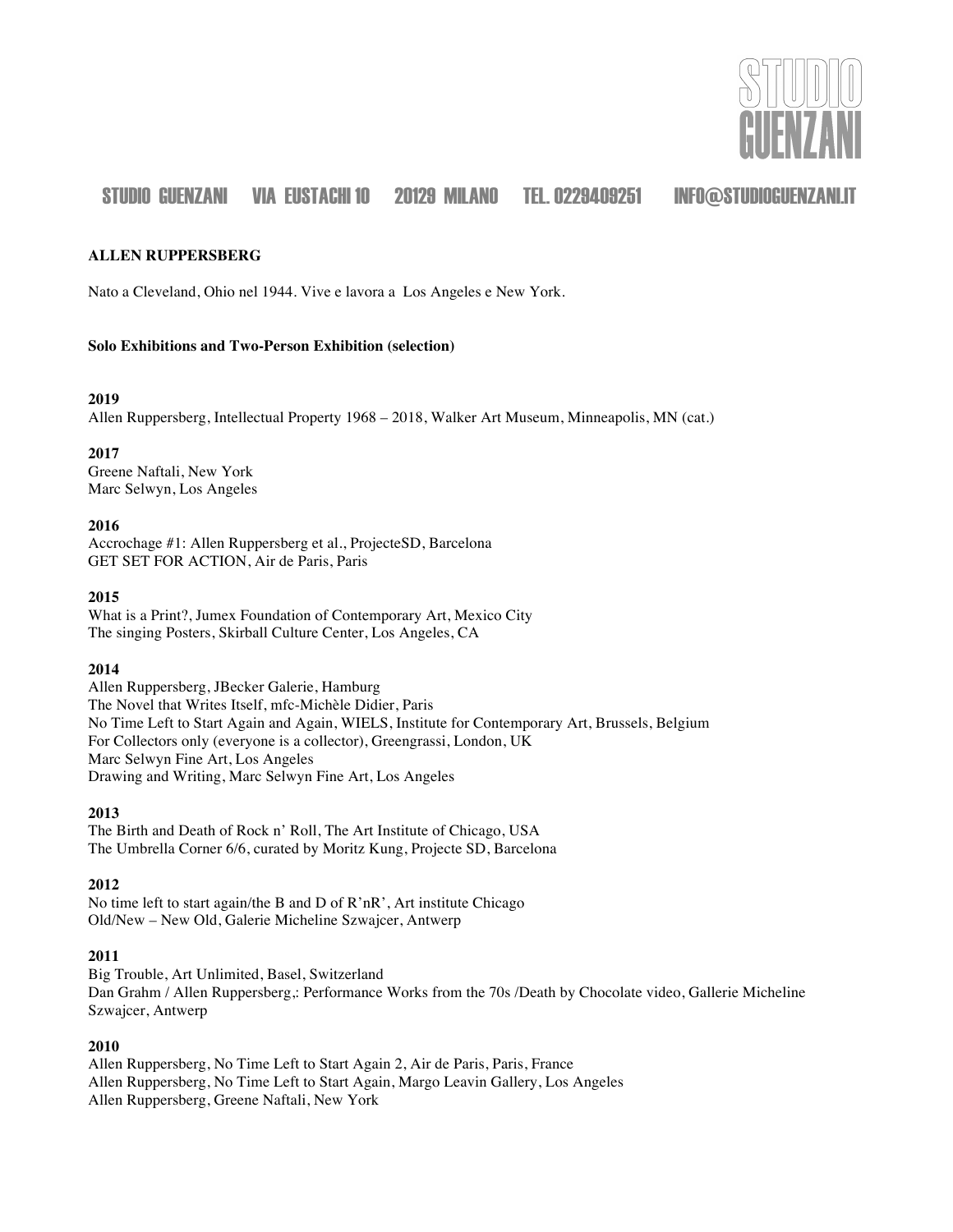

#### **ALLEN RUPPERSBERG**

Nato a Cleveland, Ohio nel 1944. Vive e lavora a Los Angeles e New York.

#### **Solo Exhibitions and Two-Person Exhibition (selection)**

#### **2019**

Allen Ruppersberg, Intellectual Property 1968 – 2018, Walker Art Museum, Minneapolis, MN (cat.)

#### **2017**

Greene Naftali, New York Marc Selwyn, Los Angeles

#### **2016**

Accrochage #1: Allen Ruppersberg et al., ProjecteSD, Barcelona GET SET FOR ACTION, Air de Paris, Paris

#### **2015**

What is a Print?, Jumex Foundation of Contemporary Art, Mexico City The singing Posters, Skirball Culture Center, Los Angeles, CA

#### **2014**

Allen Ruppersberg, JBecker Galerie, Hamburg The Novel that Writes Itself, mfc-Michèle Didier, Paris No Time Left to Start Again and Again, WIELS, Institute for Contemporary Art, Brussels, Belgium For Collectors only (everyone is a collector), Greengrassi, London, UK Marc Selwyn Fine Art, Los Angeles Drawing and Writing, Marc Selwyn Fine Art, Los Angeles

#### **2013**

The Birth and Death of Rock n' Roll, The Art Institute of Chicago, USA The Umbrella Corner 6/6, curated by Moritz Kung, Projecte SD, Barcelona

#### **2012**

No time left to start again/the B and D of R'nR', Art institute Chicago Old/New – New Old, Galerie Micheline Szwajcer, Antwerp

#### **2011**

Big Trouble, Art Unlimited, Basel, Switzerland Dan Grahm / Allen Ruppersberg,: Performance Works from the 70s /Death by Chocolate video, Gallerie Micheline Szwajcer, Antwerp

#### **2010**

Allen Ruppersberg, No Time Left to Start Again 2, Air de Paris, Paris, France Allen Ruppersberg, No Time Left to Start Again, Margo Leavin Gallery, Los Angeles Allen Ruppersberg, Greene Naftali, New York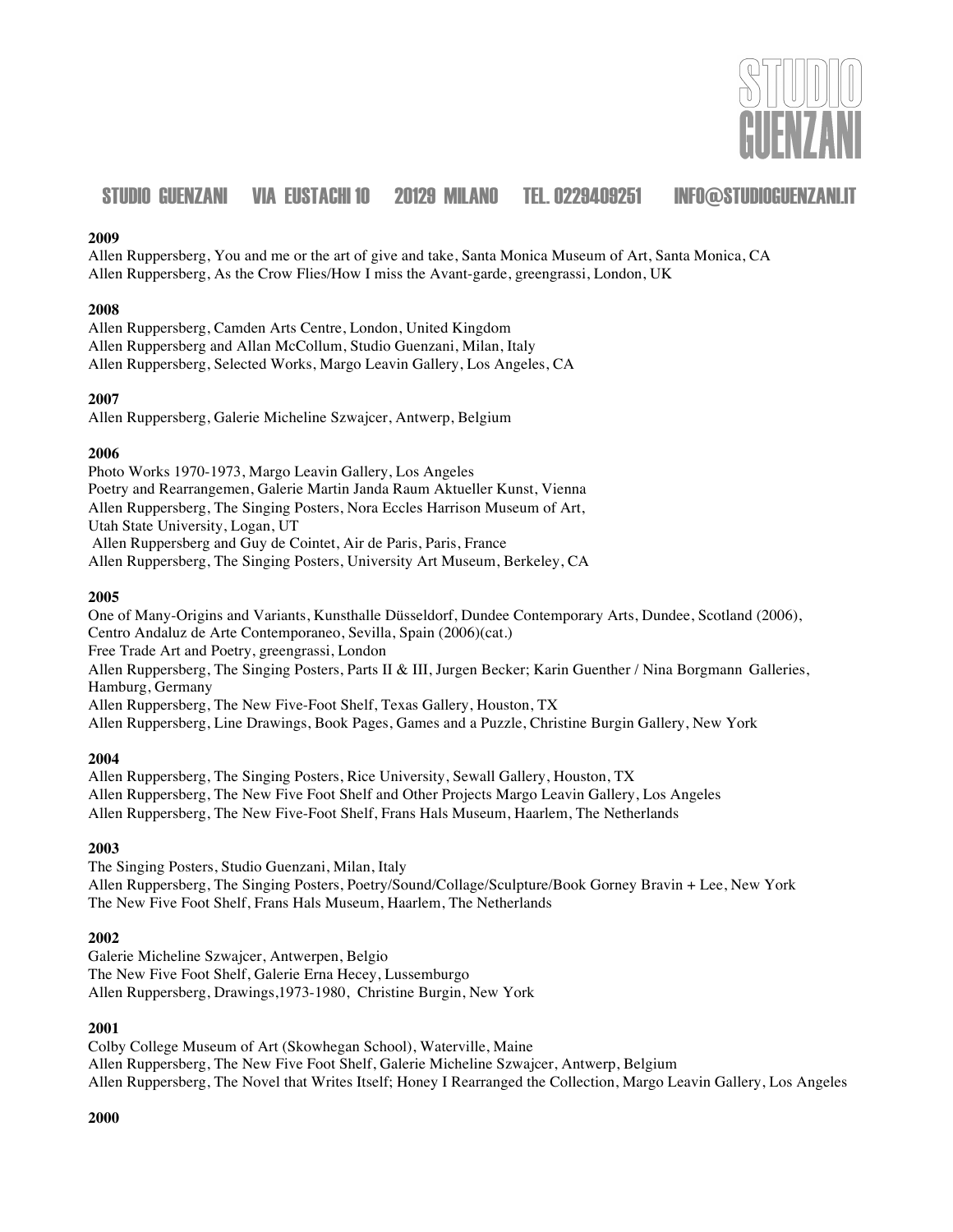

#### **2009**

Allen Ruppersberg, You and me or the art of give and take, Santa Monica Museum of Art, Santa Monica, CA Allen Ruppersberg, As the Crow Flies/How I miss the Avant-garde, greengrassi, London, UK

#### **2008**

Allen Ruppersberg, Camden Arts Centre, London, United Kingdom Allen Ruppersberg and Allan McCollum, Studio Guenzani, Milan, Italy Allen Ruppersberg, Selected Works, Margo Leavin Gallery, Los Angeles, CA

#### **2007**

Allen Ruppersberg, Galerie Micheline Szwajcer, Antwerp, Belgium

#### **2006**

Photo Works 1970-1973, Margo Leavin Gallery, Los Angeles Poetry and Rearrangemen, Galerie Martin Janda Raum Aktueller Kunst, Vienna Allen Ruppersberg, The Singing Posters, Nora Eccles Harrison Museum of Art, Utah State University, Logan, UT Allen Ruppersberg and Guy de Cointet, Air de Paris, Paris, France

Allen Ruppersberg, The Singing Posters, University Art Museum, Berkeley, CA

#### **2005**

One of Many-Origins and Variants, Kunsthalle Düsseldorf, Dundee Contemporary Arts, Dundee, Scotland (2006), Centro Andaluz de Arte Contemporaneo, Sevilla, Spain (2006)(cat.) Free Trade Art and Poetry, greengrassi, London Allen Ruppersberg, The Singing Posters, Parts II & III, Jurgen Becker; Karin Guenther / Nina Borgmann Galleries, Hamburg, Germany Allen Ruppersberg, The New Five-Foot Shelf, Texas Gallery, Houston, TX Allen Ruppersberg, Line Drawings, Book Pages, Games and a Puzzle, Christine Burgin Gallery, New York

#### **2004**

Allen Ruppersberg, The Singing Posters, Rice University, Sewall Gallery, Houston, TX Allen Ruppersberg, The New Five Foot Shelf and Other Projects Margo Leavin Gallery, Los Angeles Allen Ruppersberg, The New Five-Foot Shelf, Frans Hals Museum, Haarlem, The Netherlands

#### **2003**

The Singing Posters, Studio Guenzani, Milan, Italy Allen Ruppersberg, The Singing Posters, Poetry/Sound/Collage/Sculpture/Book Gorney Bravin + Lee, New York The New Five Foot Shelf, Frans Hals Museum, Haarlem, The Netherlands

#### **2002**

Galerie Micheline Szwajcer, Antwerpen, Belgio The New Five Foot Shelf, Galerie Erna Hecey, Lussemburgo Allen Ruppersberg, Drawings,1973-1980, Christine Burgin, New York

### **2001**

Colby College Museum of Art (Skowhegan School), Waterville, Maine Allen Ruppersberg, The New Five Foot Shelf, Galerie Micheline Szwajcer, Antwerp, Belgium Allen Ruppersberg, The Novel that Writes Itself; Honey I Rearranged the Collection, Margo Leavin Gallery, Los Angeles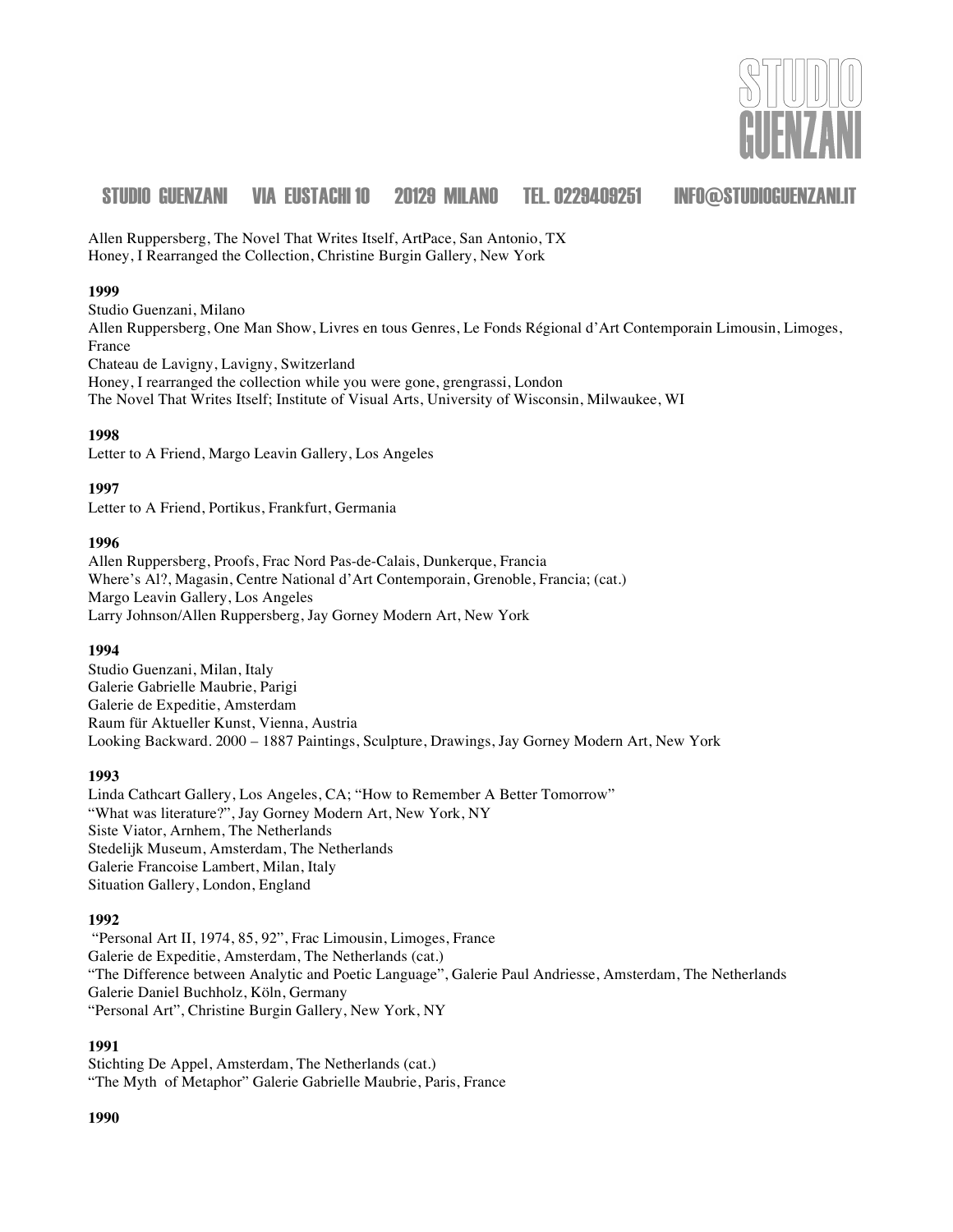

Allen Ruppersberg, The Novel That Writes Itself, ArtPace, San Antonio, TX Honey, I Rearranged the Collection, Christine Burgin Gallery, New York

#### **1999**

Studio Guenzani, Milano Allen Ruppersberg, One Man Show, Livres en tous Genres, Le Fonds Régional d'Art Contemporain Limousin, Limoges, France Chateau de Lavigny, Lavigny, Switzerland Honey, I rearranged the collection while you were gone, grengrassi, London The Novel That Writes Itself; Institute of Visual Arts, University of Wisconsin, Milwaukee, WI

#### **1998**

Letter to A Friend, Margo Leavin Gallery, Los Angeles

#### **1997**

Letter to A Friend, Portikus, Frankfurt, Germania

#### **1996**

Allen Ruppersberg, Proofs, Frac Nord Pas-de-Calais, Dunkerque, Francia Where's Al?, Magasin, Centre National d'Art Contemporain, Grenoble, Francia; (cat.) Margo Leavin Gallery, Los Angeles Larry Johnson/Allen Ruppersberg, Jay Gorney Modern Art, New York

#### **1994**

Studio Guenzani, Milan, Italy Galerie Gabrielle Maubrie, Parigi Galerie de Expeditie, Amsterdam Raum für Aktueller Kunst, Vienna, Austria Looking Backward. 2000 – 1887 Paintings, Sculpture, Drawings, Jay Gorney Modern Art, New York

#### **1993**

Linda Cathcart Gallery, Los Angeles, CA; "How to Remember A Better Tomorrow" "What was literature?", Jay Gorney Modern Art, New York, NY Siste Viator, Arnhem, The Netherlands Stedelijk Museum, Amsterdam, The Netherlands Galerie Francoise Lambert, Milan, Italy Situation Gallery, London, England

#### **1992**

"Personal Art II, 1974, 85, 92", Frac Limousin, Limoges, France Galerie de Expeditie, Amsterdam, The Netherlands (cat.) "The Difference between Analytic and Poetic Language", Galerie Paul Andriesse, Amsterdam, The Netherlands Galerie Daniel Buchholz, Köln, Germany "Personal Art", Christine Burgin Gallery, New York, NY

#### **1991**

Stichting De Appel, Amsterdam, The Netherlands (cat.) "The Myth of Metaphor" Galerie Gabrielle Maubrie, Paris, France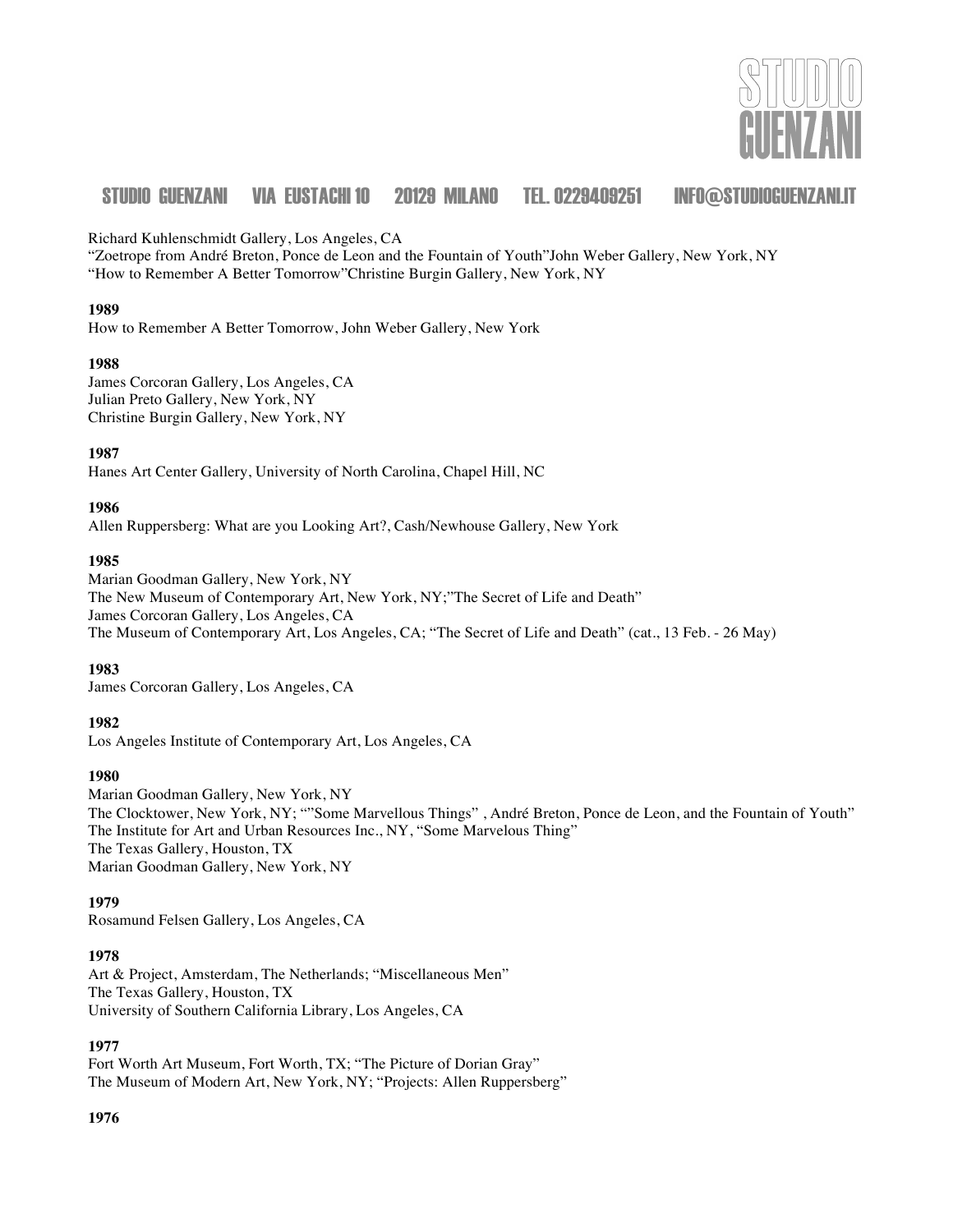

Richard Kuhlenschmidt Gallery, Los Angeles, CA

"Zoetrope from André Breton, Ponce de Leon and the Fountain of Youth"John Weber Gallery, New York, NY "How to Remember A Better Tomorrow"Christine Burgin Gallery, New York, NY

#### **1989**

How to Remember A Better Tomorrow, John Weber Gallery, New York

#### **1988**

James Corcoran Gallery, Los Angeles, CA Julian Preto Gallery, New York, NY Christine Burgin Gallery, New York, NY

#### **1987**

Hanes Art Center Gallery, University of North Carolina, Chapel Hill, NC

#### **1986**

Allen Ruppersberg: What are you Looking Art?, Cash/Newhouse Gallery, New York

#### **1985**

Marian Goodman Gallery, New York, NY The New Museum of Contemporary Art, New York, NY;"The Secret of Life and Death" James Corcoran Gallery, Los Angeles, CA The Museum of Contemporary Art, Los Angeles, CA; "The Secret of Life and Death" (cat., 13 Feb. - 26 May)

#### **1983**

James Corcoran Gallery, Los Angeles, CA

#### **1982**

Los Angeles Institute of Contemporary Art, Los Angeles, CA

#### **1980**

Marian Goodman Gallery, New York, NY The Clocktower, New York, NY; ""Some Marvellous Things" , André Breton, Ponce de Leon, and the Fountain of Youth" The Institute for Art and Urban Resources Inc., NY, "Some Marvelous Thing" The Texas Gallery, Houston, TX Marian Goodman Gallery, New York, NY

#### **1979**

Rosamund Felsen Gallery, Los Angeles, CA

#### **1978**

Art & Project, Amsterdam, The Netherlands; "Miscellaneous Men" The Texas Gallery, Houston, TX University of Southern California Library, Los Angeles, CA

#### **1977**

Fort Worth Art Museum, Fort Worth, TX; "The Picture of Dorian Gray" The Museum of Modern Art, New York, NY; "Projects: Allen Ruppersberg"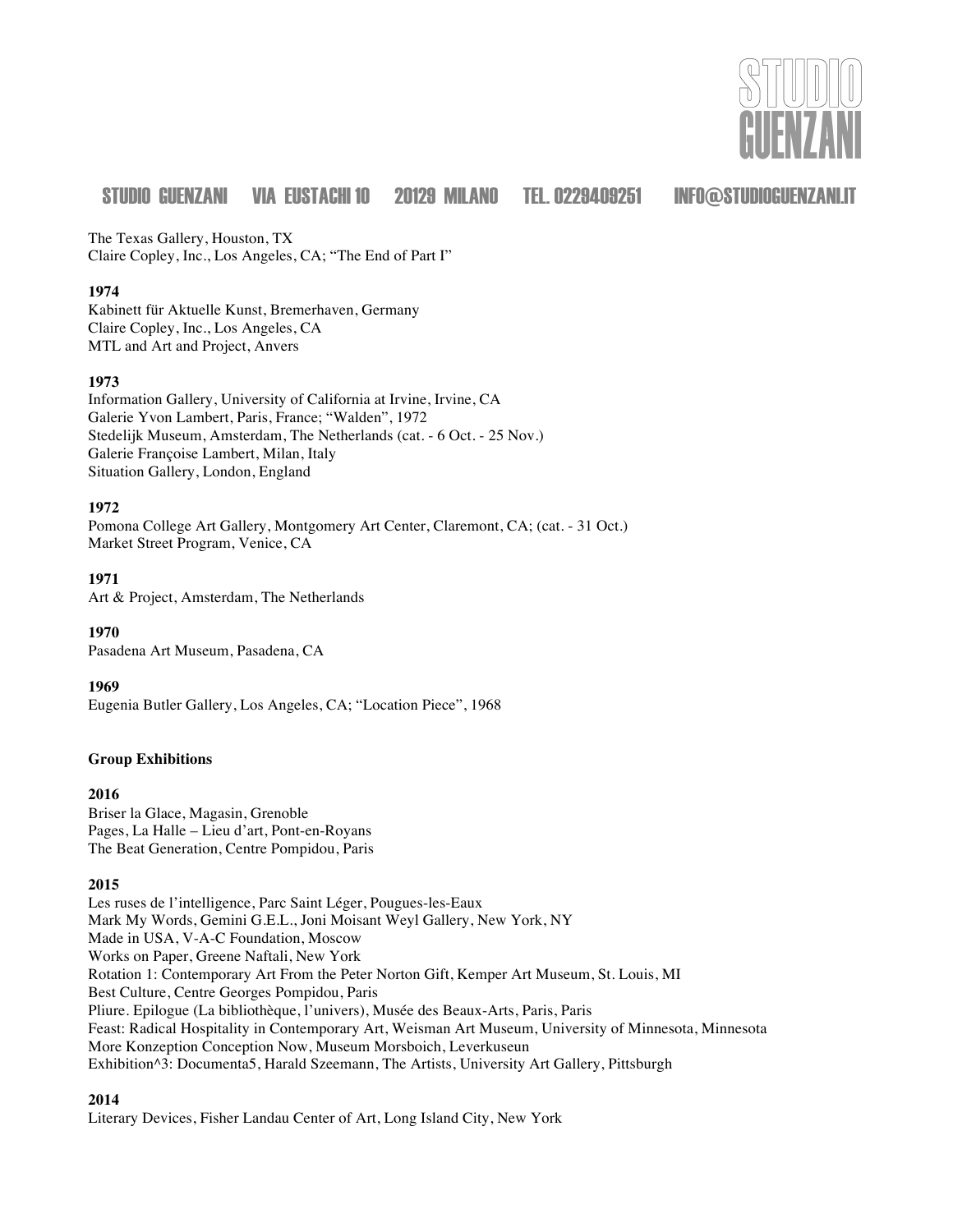

The Texas Gallery, Houston, TX Claire Copley, Inc., Los Angeles, CA; "The End of Part I"

#### **1974**

Kabinett für Aktuelle Kunst, Bremerhaven, Germany Claire Copley, Inc., Los Angeles, CA MTL and Art and Project, Anvers

#### **1973**

Information Gallery, University of California at Irvine, Irvine, CA Galerie Yvon Lambert, Paris, France; "Walden", 1972 Stedelijk Museum, Amsterdam, The Netherlands (cat. - 6 Oct. - 25 Nov.) Galerie Françoise Lambert, Milan, Italy Situation Gallery, London, England

#### **1972**

Pomona College Art Gallery, Montgomery Art Center, Claremont, CA; (cat. - 31 Oct.) Market Street Program, Venice, CA

**1971**

Art & Project, Amsterdam, The Netherlands

**1970** Pasadena Art Museum, Pasadena, CA

#### **1969**

Eugenia Butler Gallery, Los Angeles, CA; "Location Piece", 1968

#### **Group Exhibitions**

#### **2016**

Briser la Glace, Magasin, Grenoble Pages, La Halle – Lieu d'art, Pont-en-Royans The Beat Generation, Centre Pompidou, Paris

#### **2015**

Les ruses de l'intelligence, Parc Saint Léger, Pougues-les-Eaux Mark My Words, Gemini G.E.L., Joni Moisant Weyl Gallery, New York, NY Made in USA, V-A-C Foundation, Moscow Works on Paper, Greene Naftali, New York Rotation 1: Contemporary Art From the Peter Norton Gift, Kemper Art Museum, St. Louis, MI Best Culture, Centre Georges Pompidou, Paris Pliure. Epilogue (La bibliothèque, l'univers), Musée des Beaux-Arts, Paris, Paris Feast: Radical Hospitality in Contemporary Art, Weisman Art Museum, University of Minnesota, Minnesota More Konzeption Conception Now, Museum Morsboich, Leverkuseun Exhibition^3: Documenta5, Harald Szeemann, The Artists, University Art Gallery, Pittsburgh

### **2014**

Literary Devices, Fisher Landau Center of Art, Long Island City, New York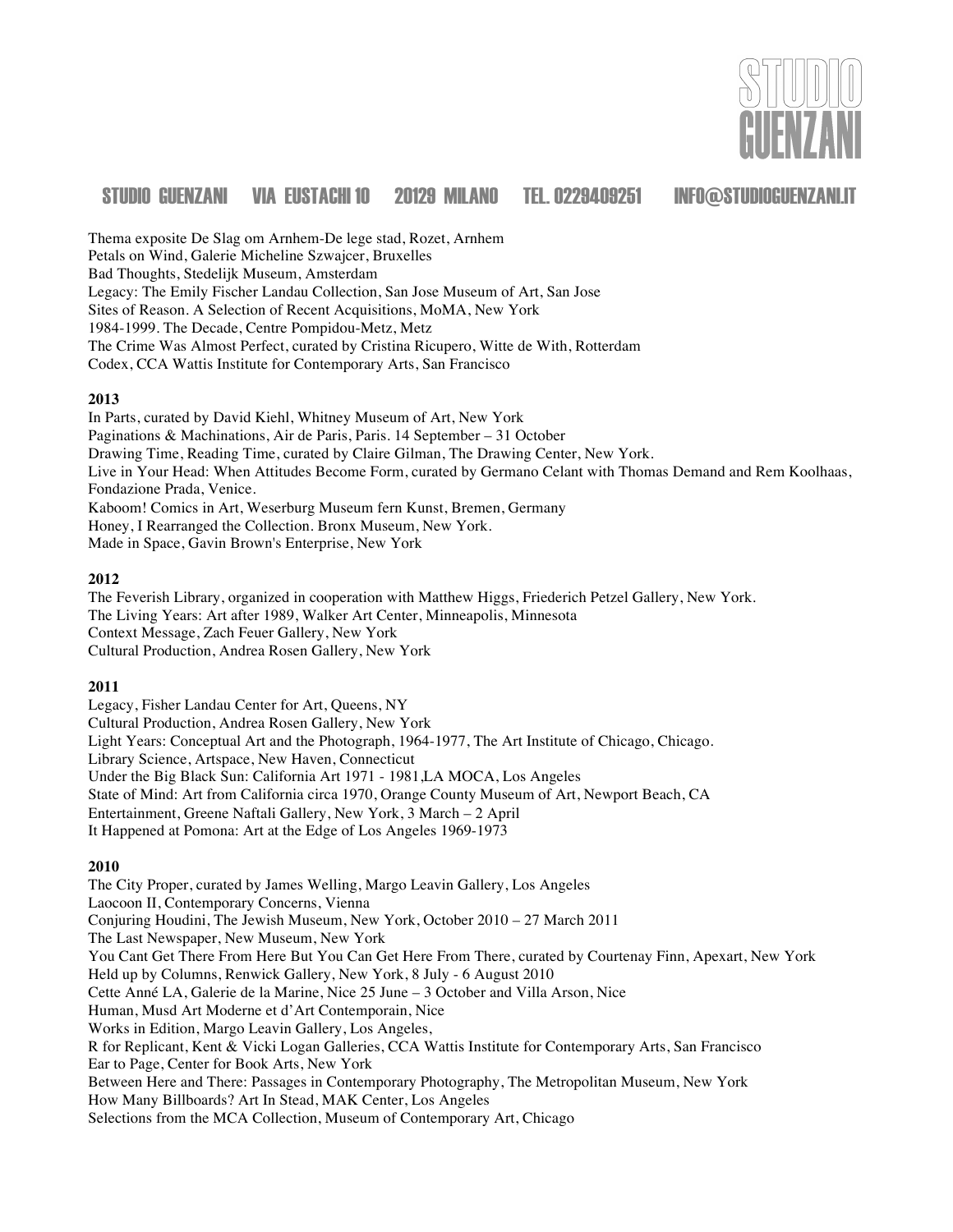

Thema exposite De Slag om Arnhem-De lege stad, Rozet, Arnhem Petals on Wind, Galerie Micheline Szwajcer, Bruxelles Bad Thoughts, Stedelijk Museum, Amsterdam Legacy: The Emily Fischer Landau Collection, San Jose Museum of Art, San Jose Sites of Reason. A Selection of Recent Acquisitions, MoMA, New York 1984-1999. The Decade, Centre Pompidou-Metz, Metz The Crime Was Almost Perfect, curated by Cristina Ricupero, Witte de With, Rotterdam Codex, CCA Wattis Institute for Contemporary Arts, San Francisco

#### **2013**

In Parts, curated by David Kiehl, Whitney Museum of Art, New York Paginations & Machinations, Air de Paris, Paris. 14 September – 31 October Drawing Time, Reading Time, curated by Claire Gilman, The Drawing Center, New York. Live in Your Head: When Attitudes Become Form, curated by Germano Celant with Thomas Demand and Rem Koolhaas, Fondazione Prada, Venice. Kaboom! Comics in Art, Weserburg Museum fern Kunst, Bremen, Germany Honey, I Rearranged the Collection. Bronx Museum, New York. Made in Space, Gavin Brown's Enterprise, New York

#### **2012**

The Feverish Library, organized in cooperation with Matthew Higgs, Friederich Petzel Gallery, New York. The Living Years: Art after 1989, Walker Art Center, Minneapolis, Minnesota Context Message, Zach Feuer Gallery, New York Cultural Production, Andrea Rosen Gallery, New York

#### **2011**

Legacy, Fisher Landau Center for Art, Queens, NY Cultural Production, Andrea Rosen Gallery, New York Light Years: Conceptual Art and the Photograph, 1964-1977, The Art Institute of Chicago, Chicago. Library Science, Artspace, New Haven, Connecticut Under the Big Black Sun: California Art 1971 - 1981,LA MOCA, Los Angeles State of Mind: Art from California circa 1970, Orange County Museum of Art, Newport Beach, CA Entertainment, Greene Naftali Gallery, New York, 3 March – 2 April It Happened at Pomona: Art at the Edge of Los Angeles 1969-1973

#### **2010**

The City Proper, curated by James Welling, Margo Leavin Gallery, Los Angeles Laocoon II, Contemporary Concerns, Vienna Conjuring Houdini, The Jewish Museum, New York, October 2010 – 27 March 2011 The Last Newspaper, New Museum, New York You Cant Get There From Here But You Can Get Here From There, curated by Courtenay Finn, Apexart, New York Held up by Columns, Renwick Gallery, New York, 8 July - 6 August 2010 Cette Anné LA, Galerie de la Marine, Nice 25 June – 3 October and Villa Arson, Nice Human, Musd Art Moderne et d'Art Contemporain, Nice Works in Edition, Margo Leavin Gallery, Los Angeles, R for Replicant, Kent & Vicki Logan Galleries, CCA Wattis Institute for Contemporary Arts, San Francisco Ear to Page, Center for Book Arts, New York Between Here and There: Passages in Contemporary Photography, The Metropolitan Museum, New York How Many Billboards? Art In Stead, MAK Center, Los Angeles Selections from the MCA Collection, Museum of Contemporary Art, Chicago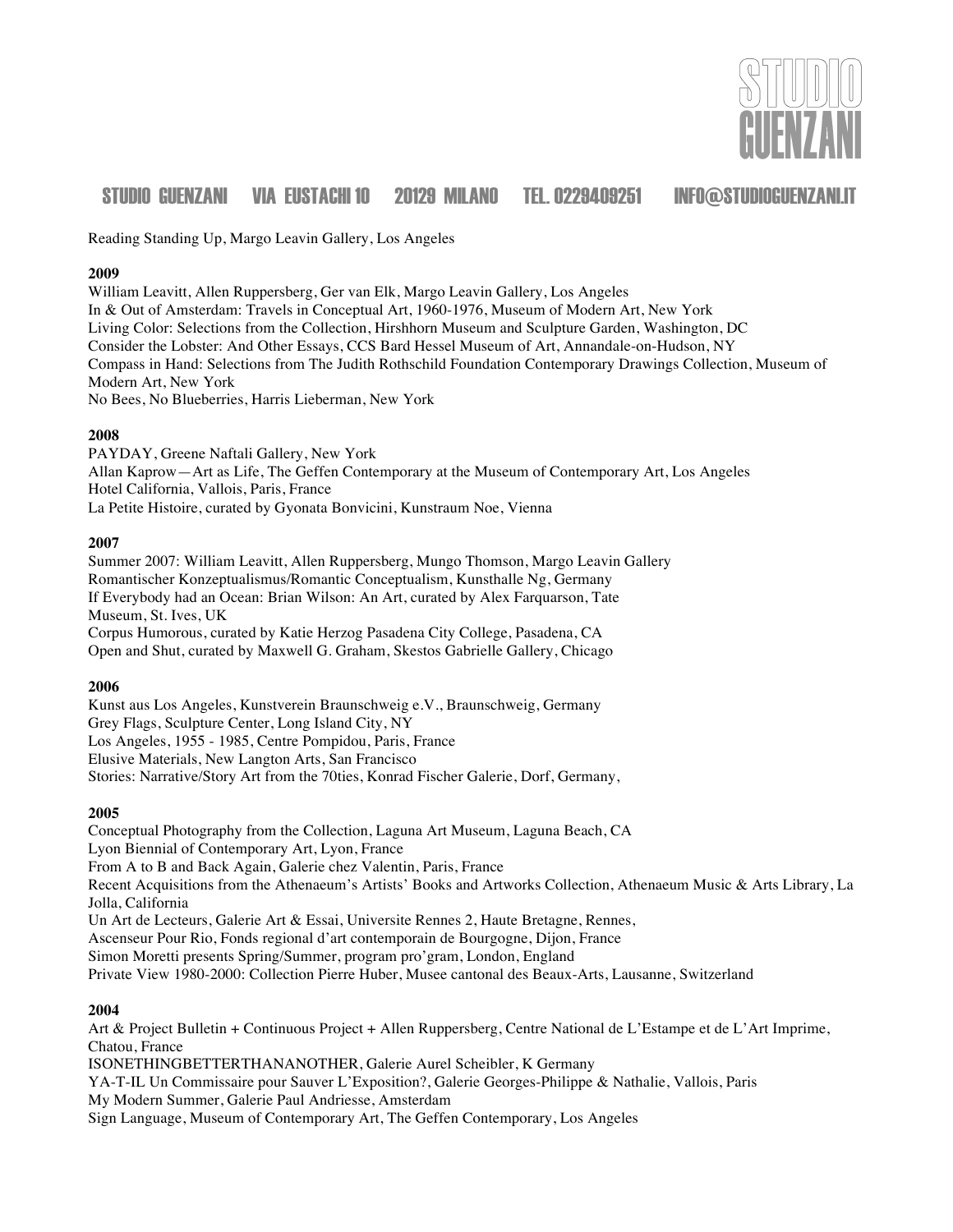

Reading Standing Up, Margo Leavin Gallery, Los Angeles

#### **2009**

William Leavitt, Allen Ruppersberg, Ger van Elk, Margo Leavin Gallery, Los Angeles In & Out of Amsterdam: Travels in Conceptual Art, 1960-1976, Museum of Modern Art, New York Living Color: Selections from the Collection, Hirshhorn Museum and Sculpture Garden, Washington, DC Consider the Lobster: And Other Essays, CCS Bard Hessel Museum of Art, Annandale-on-Hudson, NY Compass in Hand: Selections from The Judith Rothschild Foundation Contemporary Drawings Collection, Museum of Modern Art, New York No Bees, No Blueberries, Harris Lieberman, New York

#### **2008**

PAYDAY, Greene Naftali Gallery, New York Allan Kaprow—Art as Life, The Geffen Contemporary at the Museum of Contemporary Art, Los Angeles Hotel California, Vallois, Paris, France La Petite Histoire, curated by Gyonata Bonvicini, Kunstraum Noe, Vienna

#### **2007**

Summer 2007: William Leavitt, Allen Ruppersberg, Mungo Thomson, Margo Leavin Gallery Romantischer Konzeptualismus/Romantic Conceptualism, Kunsthalle Ng, Germany If Everybody had an Ocean: Brian Wilson: An Art, curated by Alex Farquarson, Tate Museum, St. Ives, UK Corpus Humorous, curated by Katie Herzog Pasadena City College, Pasadena, CA Open and Shut, curated by Maxwell G. Graham, Skestos Gabrielle Gallery, Chicago

#### **2006**

Kunst aus Los Angeles, Kunstverein Braunschweig e.V., Braunschweig, Germany Grey Flags, Sculpture Center, Long Island City, NY Los Angeles, 1955 - 1985, Centre Pompidou, Paris, France Elusive Materials, New Langton Arts, San Francisco Stories: Narrative/Story Art from the 70ties, Konrad Fischer Galerie, Dorf, Germany,

### **2005**

Conceptual Photography from the Collection, Laguna Art Museum, Laguna Beach, CA Lyon Biennial of Contemporary Art, Lyon, France From A to B and Back Again, Galerie chez Valentin, Paris, France Recent Acquisitions from the Athenaeum's Artists' Books and Artworks Collection, Athenaeum Music & Arts Library, La Jolla, California Un Art de Lecteurs, Galerie Art & Essai, Universite Rennes 2, Haute Bretagne, Rennes, Ascenseur Pour Rio, Fonds regional d'art contemporain de Bourgogne, Dijon, France Simon Moretti presents Spring/Summer, program pro'gram, London, England Private View 1980-2000: Collection Pierre Huber, Musee cantonal des Beaux-Arts, Lausanne, Switzerland

### **2004**

Art & Project Bulletin + Continuous Project + Allen Ruppersberg, Centre National de L'Estampe et de L'Art Imprime, Chatou, France

ISONETHINGBETTERTHANANOTHER, Galerie Aurel Scheibler, K Germany YA-T-IL Un Commissaire pour Sauver L'Exposition?, Galerie Georges-Philippe & Nathalie, Vallois, Paris My Modern Summer, Galerie Paul Andriesse, Amsterdam Sign Language, Museum of Contemporary Art, The Geffen Contemporary, Los Angeles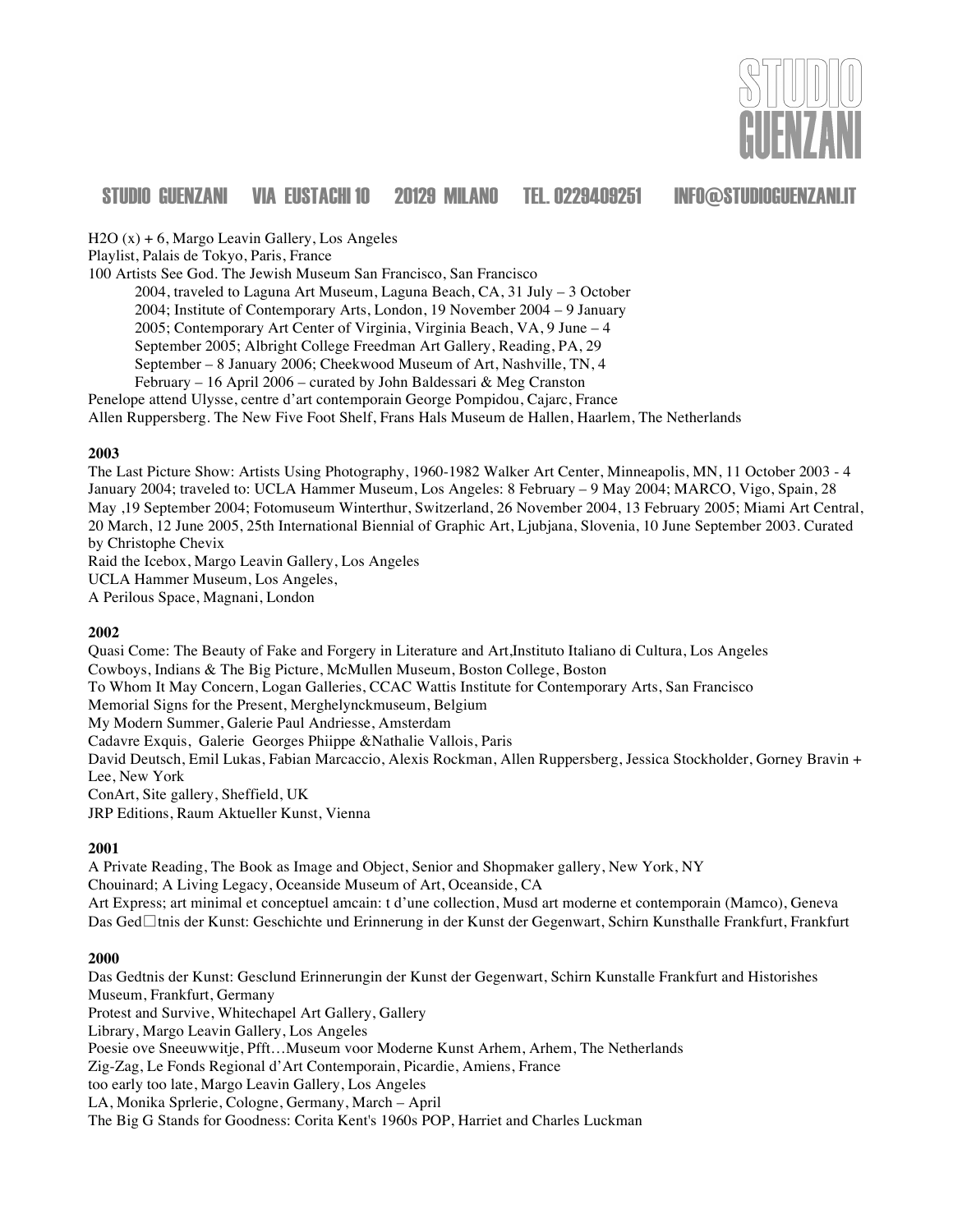

H2O (x) + 6, Margo Leavin Gallery, Los Angeles

Playlist, Palais de Tokyo, Paris, France

100 Artists See God. The Jewish Museum San Francisco, San Francisco

 2004, traveled to Laguna Art Museum, Laguna Beach, CA, 31 July – 3 October 2004; Institute of Contemporary Arts, London, 19 November 2004 – 9 January 2005; Contemporary Art Center of Virginia, Virginia Beach, VA, 9 June – 4 September 2005; Albright College Freedman Art Gallery, Reading, PA, 29 September – 8 January 2006; Cheekwood Museum of Art, Nashville, TN, 4

February – 16 April 2006 – curated by John Baldessari & Meg Cranston

Penelope attend Ulysse, centre d'art contemporain George Pompidou, Cajarc, France

Allen Ruppersberg. The New Five Foot Shelf, Frans Hals Museum de Hallen, Haarlem, The Netherlands

#### **2003**

The Last Picture Show: Artists Using Photography, 1960-1982 Walker Art Center, Minneapolis, MN, 11 October 2003 - 4 January 2004; traveled to: UCLA Hammer Museum, Los Angeles: 8 February – 9 May 2004; MARCO, Vigo, Spain, 28 May ,19 September 2004; Fotomuseum Winterthur, Switzerland, 26 November 2004, 13 February 2005; Miami Art Central, 20 March, 12 June 2005, 25th International Biennial of Graphic Art, Ljubjana, Slovenia, 10 June September 2003. Curated by Christophe Chevix

Raid the Icebox, Margo Leavin Gallery, Los Angeles UCLA Hammer Museum, Los Angeles,

A Perilous Space, Magnani, London

#### **2002**

Quasi Come: The Beauty of Fake and Forgery in Literature and Art,Instituto Italiano di Cultura, Los Angeles Cowboys, Indians & The Big Picture, McMullen Museum, Boston College, Boston To Whom It May Concern, Logan Galleries, CCAC Wattis Institute for Contemporary Arts, San Francisco Memorial Signs for the Present, Merghelynckmuseum, Belgium My Modern Summer, Galerie Paul Andriesse, Amsterdam Cadavre Exquis, Galerie Georges Phiippe &Nathalie Vallois, Paris David Deutsch, Emil Lukas, Fabian Marcaccio, Alexis Rockman, Allen Ruppersberg, Jessica Stockholder, Gorney Bravin + Lee, New York ConArt, Site gallery, Sheffield, UK JRP Editions, Raum Aktueller Kunst, Vienna

#### **2001**

A Private Reading, The Book as Image and Object, Senior and Shopmaker gallery, New York, NY Chouinard; A Living Legacy, Oceanside Museum of Art, Oceanside, CA Art Express; art minimal et conceptuel amcain: t d'une collection, Musd art moderne et contemporain (Mamco), Geneva Das Ged⊡tnis der Kunst: Geschichte und Erinnerung in der Kunst der Gegenwart, Schirn Kunsthalle Frankfurt, Frankfurt

#### **2000**

Das Gedtnis der Kunst: Gesclund Erinnerungin der Kunst der Gegenwart, Schirn Kunstalle Frankfurt and Historishes Museum, Frankfurt, Germany Protest and Survive, Whitechapel Art Gallery, Gallery Library, Margo Leavin Gallery, Los Angeles Poesie ove Sneeuwwitje, Pfft…Museum voor Moderne Kunst Arhem, Arhem, The Netherlands Zig-Zag, Le Fonds Regional d'Art Contemporain, Picardie, Amiens, France too early too late, Margo Leavin Gallery, Los Angeles LA, Monika Sprlerie, Cologne, Germany, March – April The Big G Stands for Goodness: Corita Kent's 1960s POP, Harriet and Charles Luckman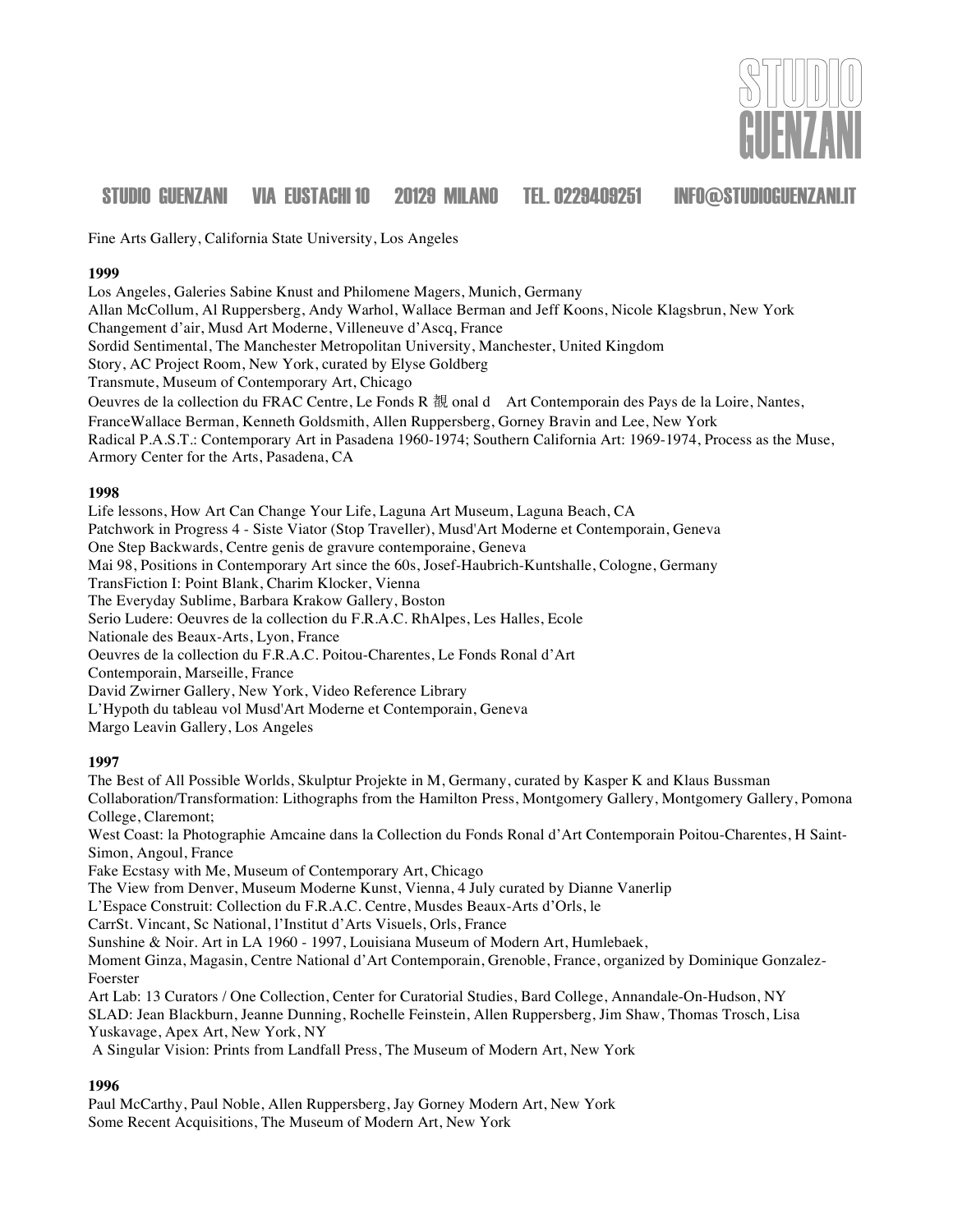

Fine Arts Gallery, California State University, Los Angeles

#### **1999**

Los Angeles, Galeries Sabine Knust and Philomene Magers, Munich, Germany Allan McCollum, Al Ruppersberg, Andy Warhol, Wallace Berman and Jeff Koons, Nicole Klagsbrun, New York Changement d'air, Musd Art Moderne, Villeneuve d'Ascq, France Sordid Sentimental, The Manchester Metropolitan University, Manchester, United Kingdom Story, AC Project Room, New York, curated by Elyse Goldberg Transmute, Museum of Contemporary Art, Chicago Oeuvres de la collection du FRAC Centre, Le Fonds R 覩 onal d Art Contemporain des Pays de la Loire, Nantes, FranceWallace Berman, Kenneth Goldsmith, Allen Ruppersberg, Gorney Bravin and Lee, New York Radical P.A.S.T.: Contemporary Art in Pasadena 1960-1974; Southern California Art: 1969-1974, Process as the Muse, Armory Center for the Arts, Pasadena, CA

#### **1998**

Life lessons, How Art Can Change Your Life, Laguna Art Museum, Laguna Beach, CA Patchwork in Progress 4 - Siste Viator (Stop Traveller), Musd'Art Moderne et Contemporain, Geneva One Step Backwards, Centre genis de gravure contemporaine, Geneva Mai 98, Positions in Contemporary Art since the 60s, Josef-Haubrich-Kuntshalle, Cologne, Germany TransFiction I: Point Blank, Charim Klocker, Vienna The Everyday Sublime, Barbara Krakow Gallery, Boston Serio Ludere: Oeuvres de la collection du F.R.A.C. RhAlpes, Les Halles, Ecole Nationale des Beaux-Arts, Lyon, France Oeuvres de la collection du F.R.A.C. Poitou-Charentes, Le Fonds Ronal d'Art Contemporain, Marseille, France David Zwirner Gallery, New York, Video Reference Library L'Hypoth du tableau vol Musd'Art Moderne et Contemporain, Geneva Margo Leavin Gallery, Los Angeles

#### **1997**

The Best of All Possible Worlds, Skulptur Projekte in M, Germany, curated by Kasper K and Klaus Bussman Collaboration/Transformation: Lithographs from the Hamilton Press, Montgomery Gallery, Montgomery Gallery, Pomona College, Claremont; West Coast: la Photographie Amcaine dans la Collection du Fonds Ronal d'Art Contemporain Poitou-Charentes, H Saint-Simon, Angoul, France Fake Ecstasy with Me, Museum of Contemporary Art, Chicago The View from Denver, Museum Moderne Kunst, Vienna, 4 July curated by Dianne Vanerlip L'Espace Construit: Collection du F.R.A.C. Centre, Musdes Beaux-Arts d'Orls, le CarrSt. Vincant, Sc National, l'Institut d'Arts Visuels, Orls, France Sunshine & Noir. Art in LA 1960 - 1997, Louisiana Museum of Modern Art, Humlebaek, Moment Ginza, Magasin, Centre National d'Art Contemporain, Grenoble, France, organized by Dominique Gonzalez-Foerster Art Lab: 13 Curators / One Collection, Center for Curatorial Studies, Bard College, Annandale-On-Hudson, NY SLAD: Jean Blackburn, Jeanne Dunning, Rochelle Feinstein, Allen Ruppersberg, Jim Shaw, Thomas Trosch, Lisa Yuskavage, Apex Art, New York, NY A Singular Vision: Prints from Landfall Press, The Museum of Modern Art, New York **1996**

Paul McCarthy, Paul Noble, Allen Ruppersberg, Jay Gorney Modern Art, New York Some Recent Acquisitions, The Museum of Modern Art, New York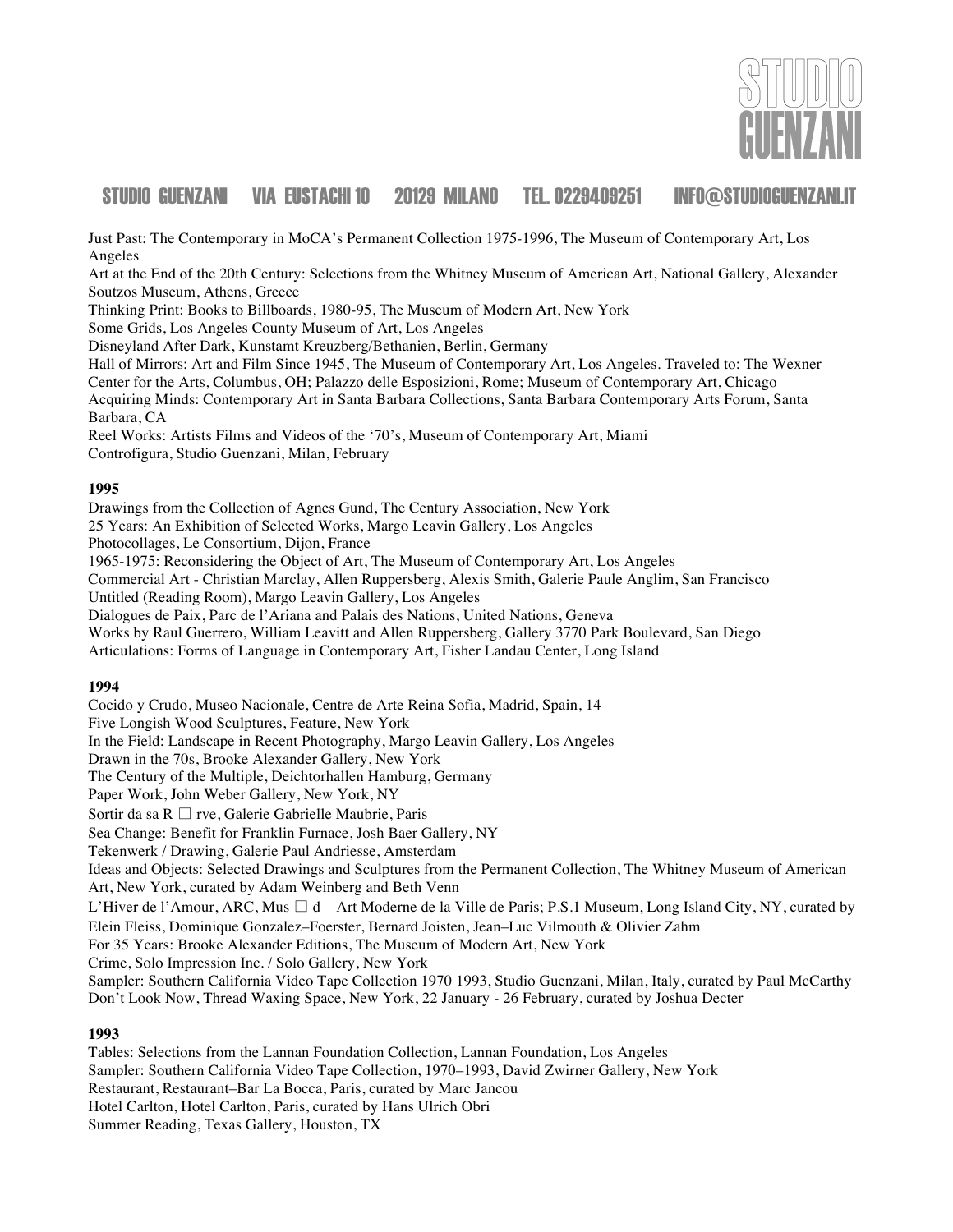

Just Past: The Contemporary in MoCA's Permanent Collection 1975-1996, The Museum of Contemporary Art, Los Angeles

Art at the End of the 20th Century: Selections from the Whitney Museum of American Art, National Gallery, Alexander Soutzos Museum, Athens, Greece

Thinking Print: Books to Billboards, 1980-95, The Museum of Modern Art, New York

Some Grids, Los Angeles County Museum of Art, Los Angeles

Disneyland After Dark, Kunstamt Kreuzberg/Bethanien, Berlin, Germany

Hall of Mirrors: Art and Film Since 1945, The Museum of Contemporary Art, Los Angeles. Traveled to: The Wexner Center for the Arts, Columbus, OH; Palazzo delle Esposizioni, Rome; Museum of Contemporary Art, Chicago Acquiring Minds: Contemporary Art in Santa Barbara Collections, Santa Barbara Contemporary Arts Forum, Santa Barbara, CA

Reel Works: Artists Films and Videos of the '70's, Museum of Contemporary Art, Miami Controfigura, Studio Guenzani, Milan, February

#### **1995**

Drawings from the Collection of Agnes Gund, The Century Association, New York 25 Years: An Exhibition of Selected Works, Margo Leavin Gallery, Los Angeles Photocollages, Le Consortium, Dijon, France 1965-1975: Reconsidering the Object of Art, The Museum of Contemporary Art, Los Angeles Commercial Art - Christian Marclay, Allen Ruppersberg, Alexis Smith, Galerie Paule Anglim, San Francisco Untitled (Reading Room), Margo Leavin Gallery, Los Angeles Dialogues de Paix, Parc de l'Ariana and Palais des Nations, United Nations, Geneva Works by Raul Guerrero, William Leavitt and Allen Ruppersberg, Gallery 3770 Park Boulevard, San Diego Articulations: Forms of Language in Contemporary Art, Fisher Landau Center, Long Island

#### **1994**

Cocido y Crudo, Museo Nacionale, Centre de Arte Reina Sofia, Madrid, Spain, 14 Five Longish Wood Sculptures, Feature, New York In the Field: Landscape in Recent Photography, Margo Leavin Gallery, Los Angeles Drawn in the 70s, Brooke Alexander Gallery, New York The Century of the Multiple, Deichtorhallen Hamburg, Germany Paper Work, John Weber Gallery, New York, NY Sortir da sa R  $\Box$  rve, Galerie Gabrielle Maubrie, Paris Sea Change: Benefit for Franklin Furnace, Josh Baer Gallery, NY Tekenwerk / Drawing, Galerie Paul Andriesse, Amsterdam Ideas and Objects: Selected Drawings and Sculptures from the Permanent Collection, The Whitney Museum of American Art, New York, curated by Adam Weinberg and Beth Venn L'Hiver de l'Amour, ARC, Mus  $\Box$  d Art Moderne de la Ville de Paris; P.S.1 Museum, Long Island City, NY, curated by Elein Fleiss, Dominique Gonzalez–Foerster, Bernard Joisten, Jean–Luc Vilmouth & Olivier Zahm For 35 Years: Brooke Alexander Editions, The Museum of Modern Art, New York Crime, Solo Impression Inc. / Solo Gallery, New York Sampler: Southern California Video Tape Collection 1970 1993, Studio Guenzani, Milan, Italy, curated by Paul McCarthy Don't Look Now, Thread Waxing Space, New York, 22 January - 26 February, curated by Joshua Decter **1993** Tables: Selections from the Lannan Foundation Collection, Lannan Foundation, Los Angeles Sampler: Southern California Video Tape Collection, 1970–1993, David Zwirner Gallery, New York

Restaurant, Restaurant–Bar La Bocca, Paris, curated by Marc Jancou

Hotel Carlton, Hotel Carlton, Paris, curated by Hans Ulrich Obri

Summer Reading, Texas Gallery, Houston, TX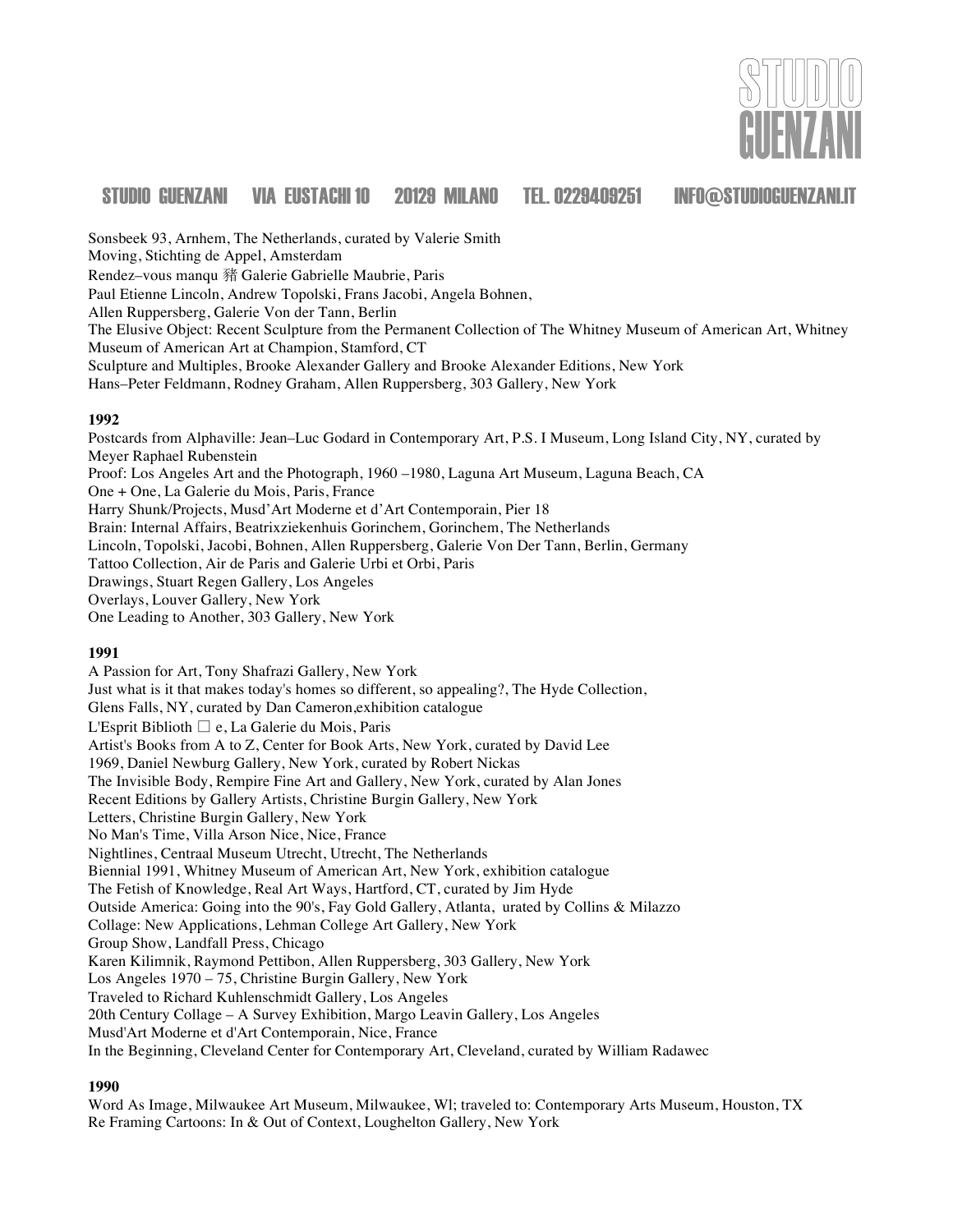

Sonsbeek 93, Arnhem, The Netherlands, curated by Valerie Smith Moving, Stichting de Appel, Amsterdam Rendez–vous manqu 豬 Galerie Gabrielle Maubrie, Paris Paul Etienne Lincoln, Andrew Topolski, Frans Jacobi, Angela Bohnen, Allen Ruppersberg, Galerie Von der Tann, Berlin The Elusive Object: Recent Sculpture from the Permanent Collection of The Whitney Museum of American Art, Whitney Museum of American Art at Champion, Stamford, CT Sculpture and Multiples, Brooke Alexander Gallery and Brooke Alexander Editions, New York Hans–Peter Feldmann, Rodney Graham, Allen Ruppersberg, 303 Gallery, New York

#### **1992**

Postcards from Alphaville: Jean–Luc Godard in Contemporary Art, P.S. I Museum, Long Island City, NY, curated by Meyer Raphael Rubenstein Proof: Los Angeles Art and the Photograph, 1960 –1980, Laguna Art Museum, Laguna Beach, CA One + One, La Galerie du Mois, Paris, France Harry Shunk/Projects, Musd'Art Moderne et d'Art Contemporain, Pier 18 Brain: Internal Affairs, Beatrixziekenhuis Gorinchem, Gorinchem, The Netherlands Lincoln, Topolski, Jacobi, Bohnen, Allen Ruppersberg, Galerie Von Der Tann, Berlin, Germany Tattoo Collection, Air de Paris and Galerie Urbi et Orbi, Paris Drawings, Stuart Regen Gallery, Los Angeles Overlays, Louver Gallery, New York One Leading to Another, 303 Gallery, New York

#### **1991**

A Passion for Art, Tony Shafrazi Gallery, New York Just what is it that makes today's homes so different, so appealing?, The Hyde Collection, Glens Falls, NY, curated by Dan Cameron,exhibition catalogue L'Esprit Biblioth  $\Box$  e, La Galerie du Mois, Paris Artist's Books from A to Z, Center for Book Arts, New York, curated by David Lee 1969, Daniel Newburg Gallery, New York, curated by Robert Nickas The Invisible Body, Rempire Fine Art and Gallery, New York, curated by Alan Jones Recent Editions by Gallery Artists, Christine Burgin Gallery, New York Letters, Christine Burgin Gallery, New York No Man's Time, Villa Arson Nice, Nice, France Nightlines, Centraal Museum Utrecht, Utrecht, The Netherlands Biennial 1991, Whitney Museum of American Art, New York, exhibition catalogue The Fetish of Knowledge, Real Art Ways, Hartford, CT, curated by Jim Hyde Outside America: Going into the 90's, Fay Gold Gallery, Atlanta, urated by Collins & Milazzo Collage: New Applications, Lehman College Art Gallery, New York Group Show, Landfall Press, Chicago Karen Kilimnik, Raymond Pettibon, Allen Ruppersberg, 303 Gallery, New York Los Angeles 1970 – 75, Christine Burgin Gallery, New York Traveled to Richard Kuhlenschmidt Gallery, Los Angeles 20th Century Collage – A Survey Exhibition, Margo Leavin Gallery, Los Angeles Musd'Art Moderne et d'Art Contemporain, Nice, France In the Beginning, Cleveland Center for Contemporary Art, Cleveland, curated by William Radawec

#### **1990**

Word As Image, Milwaukee Art Museum, Milwaukee, Wl; traveled to: Contemporary Arts Museum, Houston, TX Re Framing Cartoons: In & Out of Context, Loughelton Gallery, New York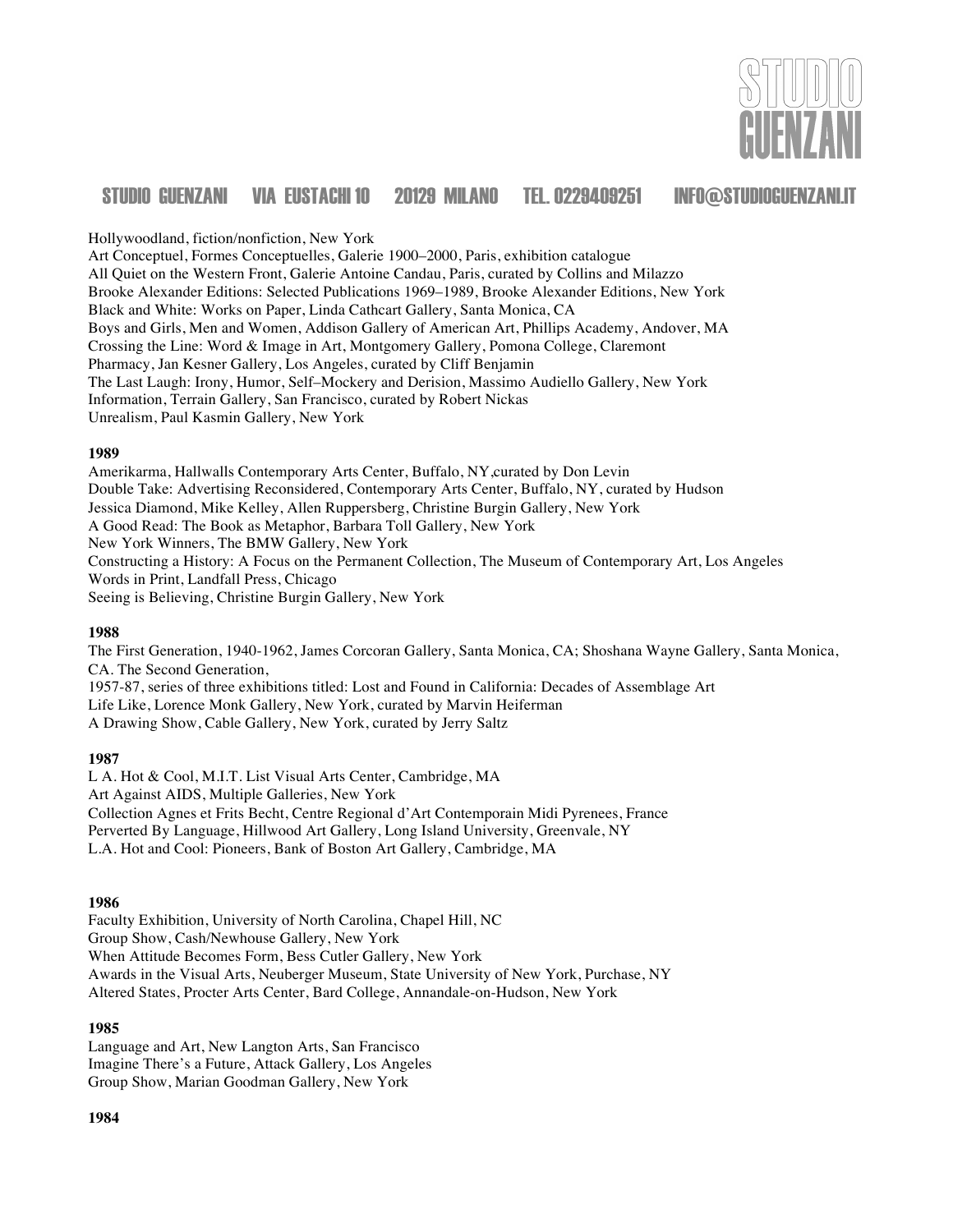

Hollywoodland, fiction/nonfiction, New York

Art Conceptuel, Formes Conceptuelles, Galerie 1900–2000, Paris, exhibition catalogue All Quiet on the Western Front, Galerie Antoine Candau, Paris, curated by Collins and Milazzo Brooke Alexander Editions: Selected Publications 1969–1989, Brooke Alexander Editions, New York Black and White: Works on Paper, Linda Cathcart Gallery, Santa Monica, CA Boys and Girls, Men and Women, Addison Gallery of American Art, Phillips Academy, Andover, MA Crossing the Line: Word & Image in Art, Montgomery Gallery, Pomona College, Claremont Pharmacy, Jan Kesner Gallery, Los Angeles, curated by Cliff Benjamin The Last Laugh: Irony, Humor, Self–Mockery and Derision, Massimo Audiello Gallery, New York Information, Terrain Gallery, San Francisco, curated by Robert Nickas Unrealism, Paul Kasmin Gallery, New York

#### **1989**

Amerikarma, Hallwalls Contemporary Arts Center, Buffalo, NY,curated by Don Levin Double Take: Advertising Reconsidered, Contemporary Arts Center, Buffalo, NY, curated by Hudson Jessica Diamond, Mike Kelley, Allen Ruppersberg, Christine Burgin Gallery, New York A Good Read: The Book as Metaphor, Barbara Toll Gallery, New York New York Winners, The BMW Gallery, New York Constructing a History: A Focus on the Permanent Collection, The Museum of Contemporary Art, Los Angeles Words in Print, Landfall Press, Chicago Seeing is Believing, Christine Burgin Gallery, New York

#### **1988**

The First Generation, 1940-1962, James Corcoran Gallery, Santa Monica, CA; Shoshana Wayne Gallery, Santa Monica, CA. The Second Generation,

1957-87, series of three exhibitions titled: Lost and Found in California: Decades of Assemblage Art Life Like, Lorence Monk Gallery, New York, curated by Marvin Heiferman A Drawing Show, Cable Gallery, New York, curated by Jerry Saltz

#### **1987**

L A. Hot & Cool, M.I.T. List Visual Arts Center, Cambridge, MA Art Against AIDS, Multiple Galleries, New York Collection Agnes et Frits Becht, Centre Regional d'Art Contemporain Midi Pyrenees, France Perverted By Language, Hillwood Art Gallery, Long Island University, Greenvale, NY L.A. Hot and Cool: Pioneers, Bank of Boston Art Gallery, Cambridge, MA

#### **1986**

Faculty Exhibition, University of North Carolina, Chapel Hill, NC Group Show, Cash/Newhouse Gallery, New York When Attitude Becomes Form, Bess Cutler Gallery, New York Awards in the Visual Arts, Neuberger Museum, State University of New York, Purchase, NY Altered States, Procter Arts Center, Bard College, Annandale-on-Hudson, New York

#### **1985**

Language and Art, New Langton Arts, San Francisco Imagine There's a Future, Attack Gallery, Los Angeles Group Show, Marian Goodman Gallery, New York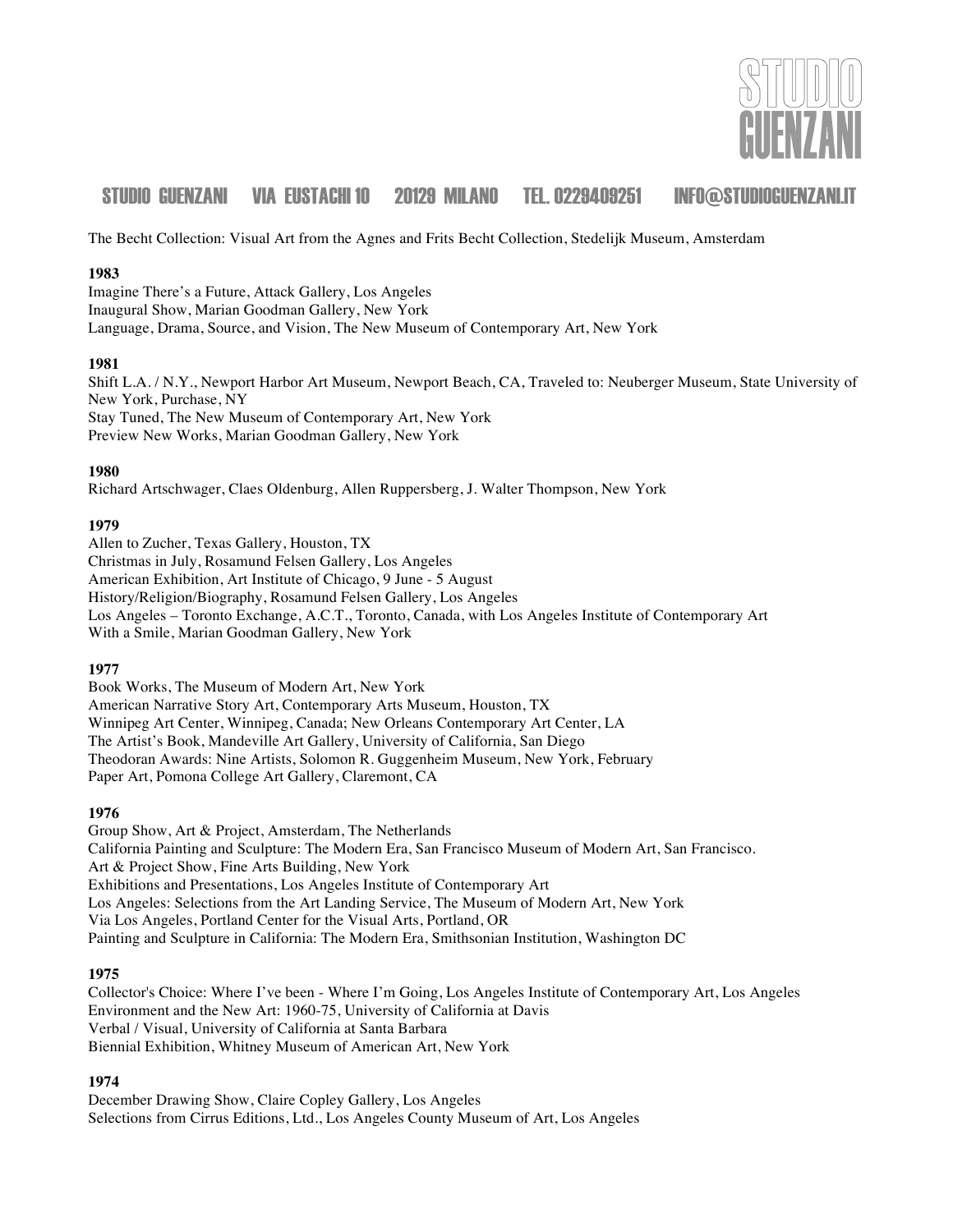

The Becht Collection: Visual Art from the Agnes and Frits Becht Collection, Stedelijk Museum, Amsterdam

#### **1983**

Imagine There's a Future, Attack Gallery, Los Angeles Inaugural Show, Marian Goodman Gallery, New York Language, Drama, Source, and Vision, The New Museum of Contemporary Art, New York

#### **1981**

Shift L.A. / N.Y., Newport Harbor Art Museum, Newport Beach, CA, Traveled to: Neuberger Museum, State University of New York, Purchase, NY Stay Tuned, The New Museum of Contemporary Art, New York Preview New Works, Marian Goodman Gallery, New York

#### **1980**

Richard Artschwager, Claes Oldenburg, Allen Ruppersberg, J. Walter Thompson, New York

#### **1979**

Allen to Zucher, Texas Gallery, Houston, TX Christmas in July, Rosamund Felsen Gallery, Los Angeles American Exhibition, Art Institute of Chicago, 9 June - 5 August History/Religion/Biography, Rosamund Felsen Gallery, Los Angeles Los Angeles – Toronto Exchange, A.C.T., Toronto, Canada, with Los Angeles Institute of Contemporary Art With a Smile, Marian Goodman Gallery, New York

#### **1977**

Book Works, The Museum of Modern Art, New York American Narrative Story Art, Contemporary Arts Museum, Houston, TX Winnipeg Art Center, Winnipeg, Canada; New Orleans Contemporary Art Center, LA The Artist's Book, Mandeville Art Gallery, University of California, San Diego Theodoran Awards: Nine Artists, Solomon R. Guggenheim Museum, New York, February Paper Art, Pomona College Art Gallery, Claremont, CA

#### **1976**

Group Show, Art & Project, Amsterdam, The Netherlands California Painting and Sculpture: The Modern Era, San Francisco Museum of Modern Art, San Francisco. Art & Project Show, Fine Arts Building, New York Exhibitions and Presentations, Los Angeles Institute of Contemporary Art Los Angeles: Selections from the Art Landing Service, The Museum of Modern Art, New York Via Los Angeles, Portland Center for the Visual Arts, Portland, OR Painting and Sculpture in California: The Modern Era, Smithsonian Institution, Washington DC

#### **1975**

Collector's Choice: Where I've been - Where I'm Going, Los Angeles Institute of Contemporary Art, Los Angeles Environment and the New Art: 1960-75, University of California at Davis Verbal / Visual, University of California at Santa Barbara Biennial Exhibition, Whitney Museum of American Art, New York

#### **1974**

December Drawing Show, Claire Copley Gallery, Los Angeles Selections from Cirrus Editions, Ltd., Los Angeles County Museum of Art, Los Angeles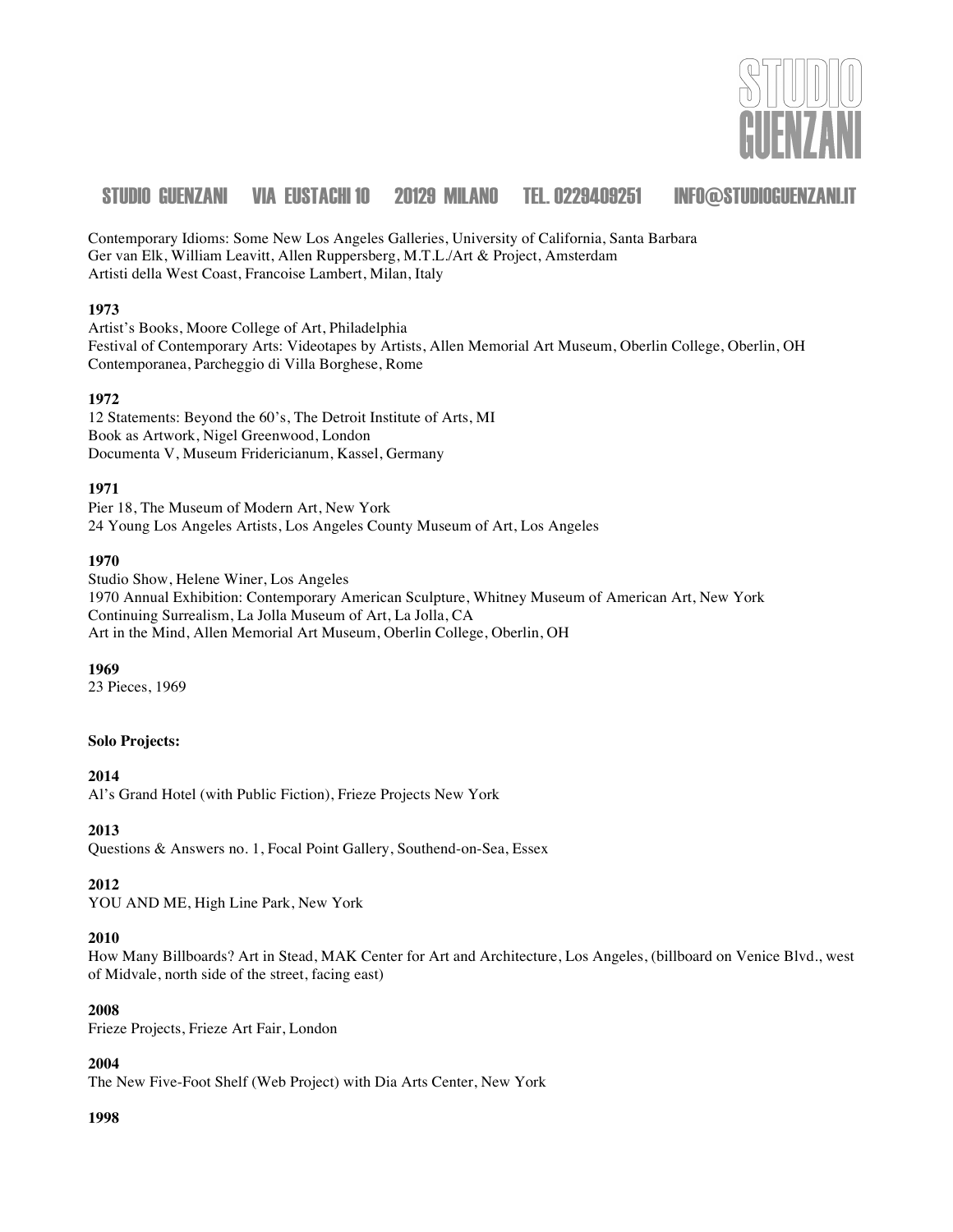

Contemporary Idioms: Some New Los Angeles Galleries, University of California, Santa Barbara Ger van Elk, William Leavitt, Allen Ruppersberg, M.T.L./Art & Project, Amsterdam Artisti della West Coast, Francoise Lambert, Milan, Italy

#### **1973**

Artist's Books, Moore College of Art, Philadelphia Festival of Contemporary Arts: Videotapes by Artists, Allen Memorial Art Museum, Oberlin College, Oberlin, OH Contemporanea, Parcheggio di Villa Borghese, Rome

#### **1972**

12 Statements: Beyond the 60's, The Detroit Institute of Arts, MI Book as Artwork, Nigel Greenwood, London Documenta V, Museum Fridericianum, Kassel, Germany

#### **1971**

Pier 18, The Museum of Modern Art, New York 24 Young Los Angeles Artists, Los Angeles County Museum of Art, Los Angeles

#### **1970**

Studio Show, Helene Winer, Los Angeles 1970 Annual Exhibition: Contemporary American Sculpture, Whitney Museum of American Art, New York Continuing Surrealism, La Jolla Museum of Art, La Jolla, CA Art in the Mind, Allen Memorial Art Museum, Oberlin College, Oberlin, OH

#### **1969**

23 Pieces, 1969

### **Solo Projects:**

#### **2014**

Al's Grand Hotel (with Public Fiction), Frieze Projects New York

#### **2013**

Questions & Answers no. 1, Focal Point Gallery, Southend-on-Sea, Essex

#### **2012**

YOU AND ME, High Line Park, New York

#### **2010**

How Many Billboards? Art in Stead, MAK Center for Art and Architecture, Los Angeles, (billboard on Venice Blvd., west of Midvale, north side of the street, facing east)

#### **2008**

Frieze Projects, Frieze Art Fair, London

#### **2004**

The New Five-Foot Shelf (Web Project) with Dia Arts Center, New York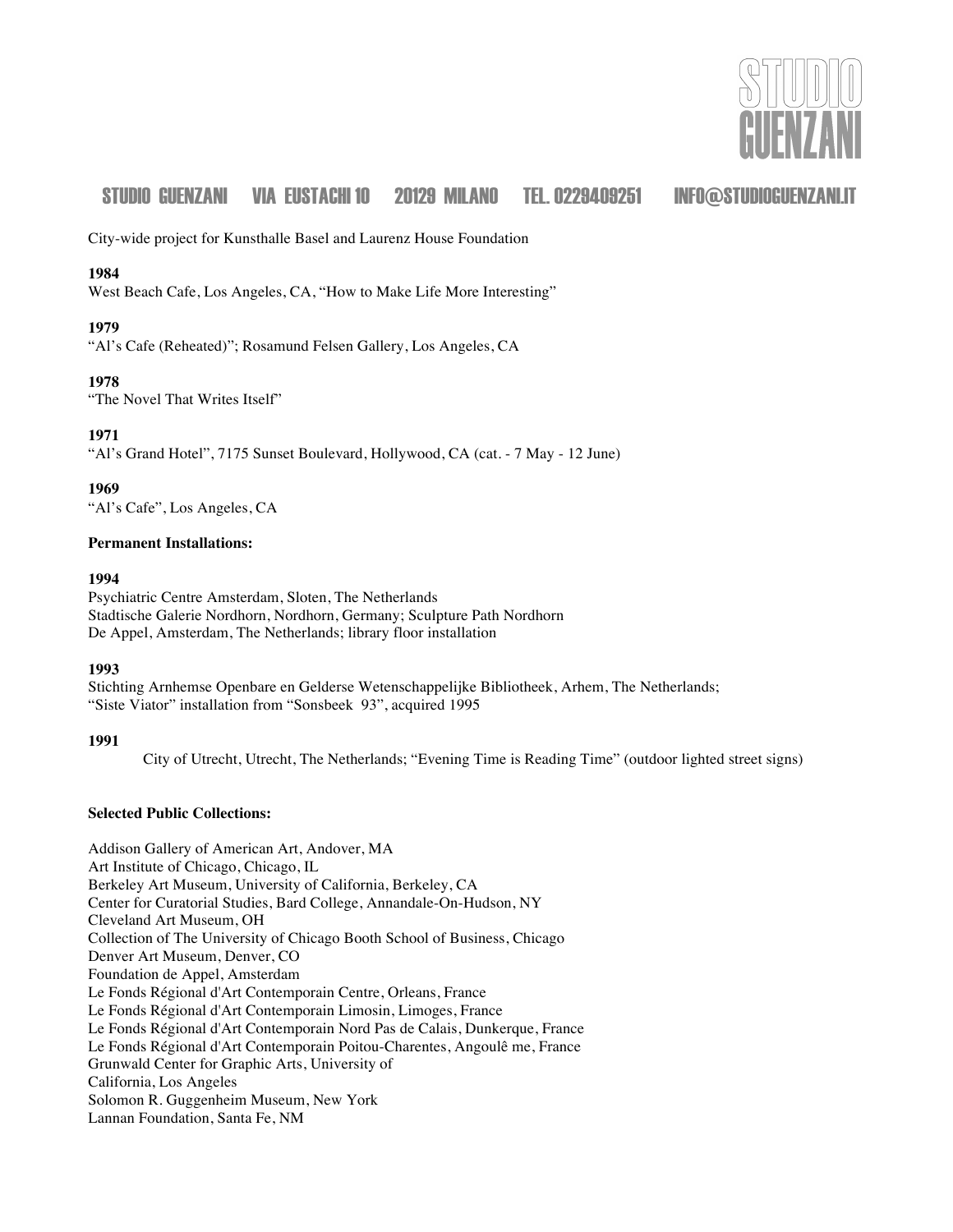

City-wide project for Kunsthalle Basel and Laurenz House Foundation

#### **1984**

West Beach Cafe, Los Angeles, CA, "How to Make Life More Interesting"

#### **1979**

"Al's Cafe (Reheated)"; Rosamund Felsen Gallery, Los Angeles, CA

#### **1978**

"The Novel That Writes Itself"

#### **1971**

"Al's Grand Hotel", 7175 Sunset Boulevard, Hollywood, CA (cat. - 7 May - 12 June)

**1969**

"Al's Cafe", Los Angeles, CA

#### **Permanent Installations:**

#### **1994**

Psychiatric Centre Amsterdam, Sloten, The Netherlands Stadtische Galerie Nordhorn, Nordhorn, Germany; Sculpture Path Nordhorn De Appel, Amsterdam, The Netherlands; library floor installation

### **1993**

Stichting Arnhemse Openbare en Gelderse Wetenschappelijke Bibliotheek, Arhem, The Netherlands; "Siste Viator" installation from "Sonsbeek 93", acquired 1995

#### **1991**

City of Utrecht, Utrecht, The Netherlands; "Evening Time is Reading Time" (outdoor lighted street signs)

#### **Selected Public Collections:**

Addison Gallery of American Art, Andover, MA Art Institute of Chicago, Chicago, IL Berkeley Art Museum, University of California, Berkeley, CA Center for Curatorial Studies, Bard College, Annandale-On-Hudson, NY Cleveland Art Museum, OH Collection of The University of Chicago Booth School of Business, Chicago Denver Art Museum, Denver, CO Foundation de Appel, Amsterdam Le Fonds Régional d'Art Contemporain Centre, Orleans, France Le Fonds Régional d'Art Contemporain Limosin, Limoges, France Le Fonds Régional d'Art Contemporain Nord Pas de Calais, Dunkerque, France Le Fonds Régional d'Art Contemporain Poitou-Charentes, Angoulê me, France Grunwald Center for Graphic Arts, University of California, Los Angeles Solomon R. Guggenheim Museum, New York Lannan Foundation, Santa Fe, NM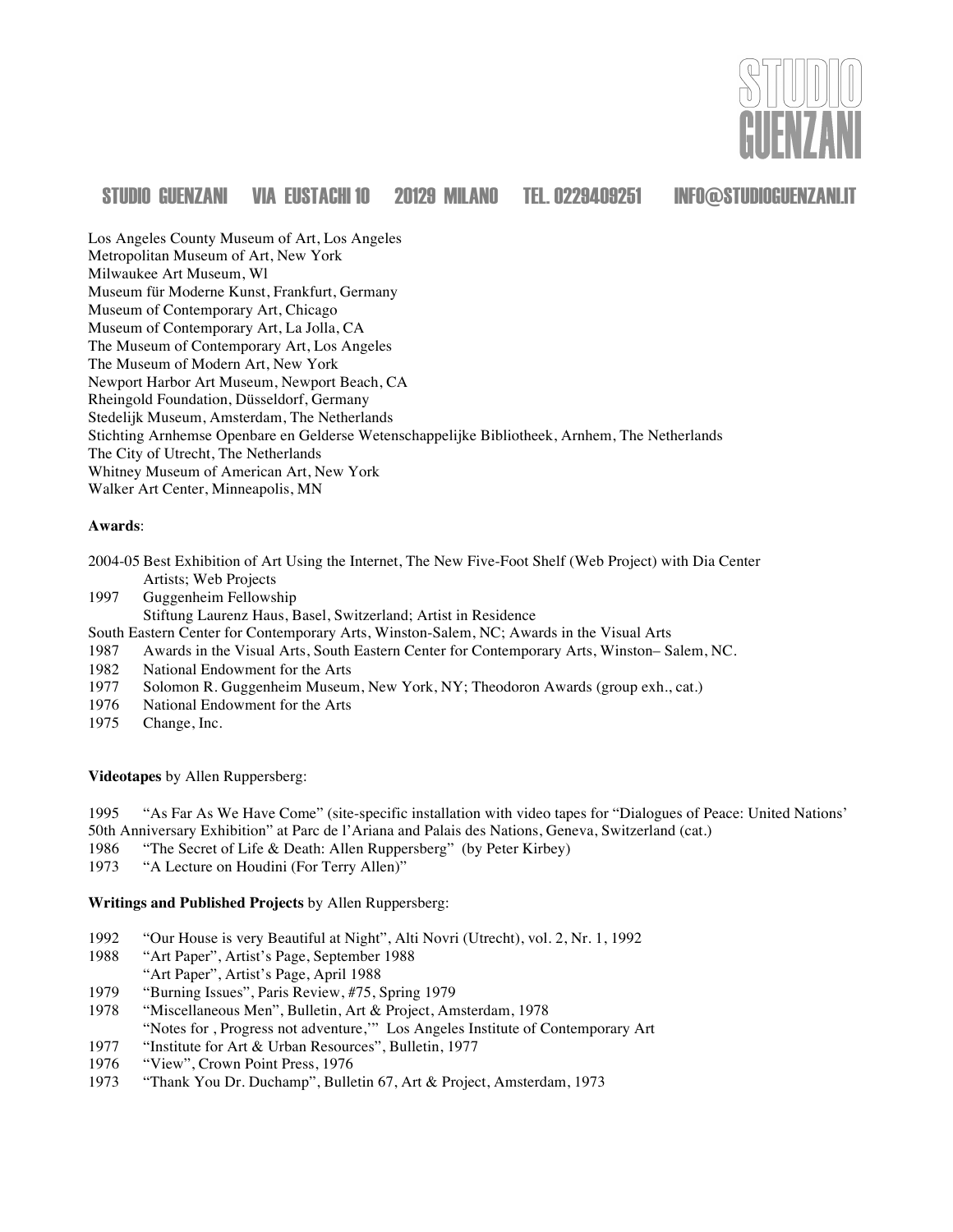

Los Angeles County Museum of Art, Los Angeles Metropolitan Museum of Art, New York Milwaukee Art Museum, Wl Museum für Moderne Kunst, Frankfurt, Germany Museum of Contemporary Art, Chicago Museum of Contemporary Art, La Jolla, CA The Museum of Contemporary Art, Los Angeles The Museum of Modern Art, New York Newport Harbor Art Museum, Newport Beach, CA Rheingold Foundation, Düsseldorf, Germany Stedelijk Museum, Amsterdam, The Netherlands Stichting Arnhemse Openbare en Gelderse Wetenschappelijke Bibliotheek, Arnhem, The Netherlands The City of Utrecht, The Netherlands Whitney Museum of American Art, New York Walker Art Center, Minneapolis, MN

#### **Awards**:

- 2004-05 Best Exhibition of Art Using the Internet, The New Five-Foot Shelf (Web Project) with Dia Center Artists; Web Projects
- 1997 Guggenheim Fellowship

Stiftung Laurenz Haus, Basel, Switzerland; Artist in Residence

- South Eastern Center for Contemporary Arts, Winston-Salem, NC; Awards in the Visual Arts
- 1987 Awards in the Visual Arts, South Eastern Center for Contemporary Arts, Winston– Salem, NC.
- 1982 National Endowment for the Arts
- 1977 Solomon R. Guggenheim Museum, New York, NY; Theodoron Awards (group exh., cat.)
- 1976 National Endowment for the Arts
- 1975 Change, Inc.

**Videotapes** by Allen Ruppersberg:

1995 "As Far As We Have Come" (site-specific installation with video tapes for "Dialogues of Peace: United Nations' 50th Anniversary Exhibition" at Parc de l'Ariana and Palais des Nations, Geneva, Switzerland (cat.)

- 1986 "The Secret of Life & Death: Allen Ruppersberg" (by Peter Kirbey)
- 1973 "A Lecture on Houdini (For Terry Allen)"

**Writings and Published Projects** by Allen Ruppersberg:

- 1992 "Our House is very Beautiful at Night", Alti Novri (Utrecht), vol. 2, Nr. 1, 1992
- 1988 "Art Paper", Artist's Page, September 1988
- "Art Paper", Artist's Page, April 1988
- 1979 "Burning Issues", Paris Review, #75, Spring 1979
- 1978 "Miscellaneous Men", Bulletin, Art & Project, Amsterdam, 1978
- "Notes for , Progress not adventure,'" Los Angeles Institute of Contemporary Art
- 1977 "Institute for Art & Urban Resources", Bulletin, 1977
- 1976 "View", Crown Point Press, 1976
- 1973 "Thank You Dr. Duchamp", Bulletin 67, Art & Project, Amsterdam, 1973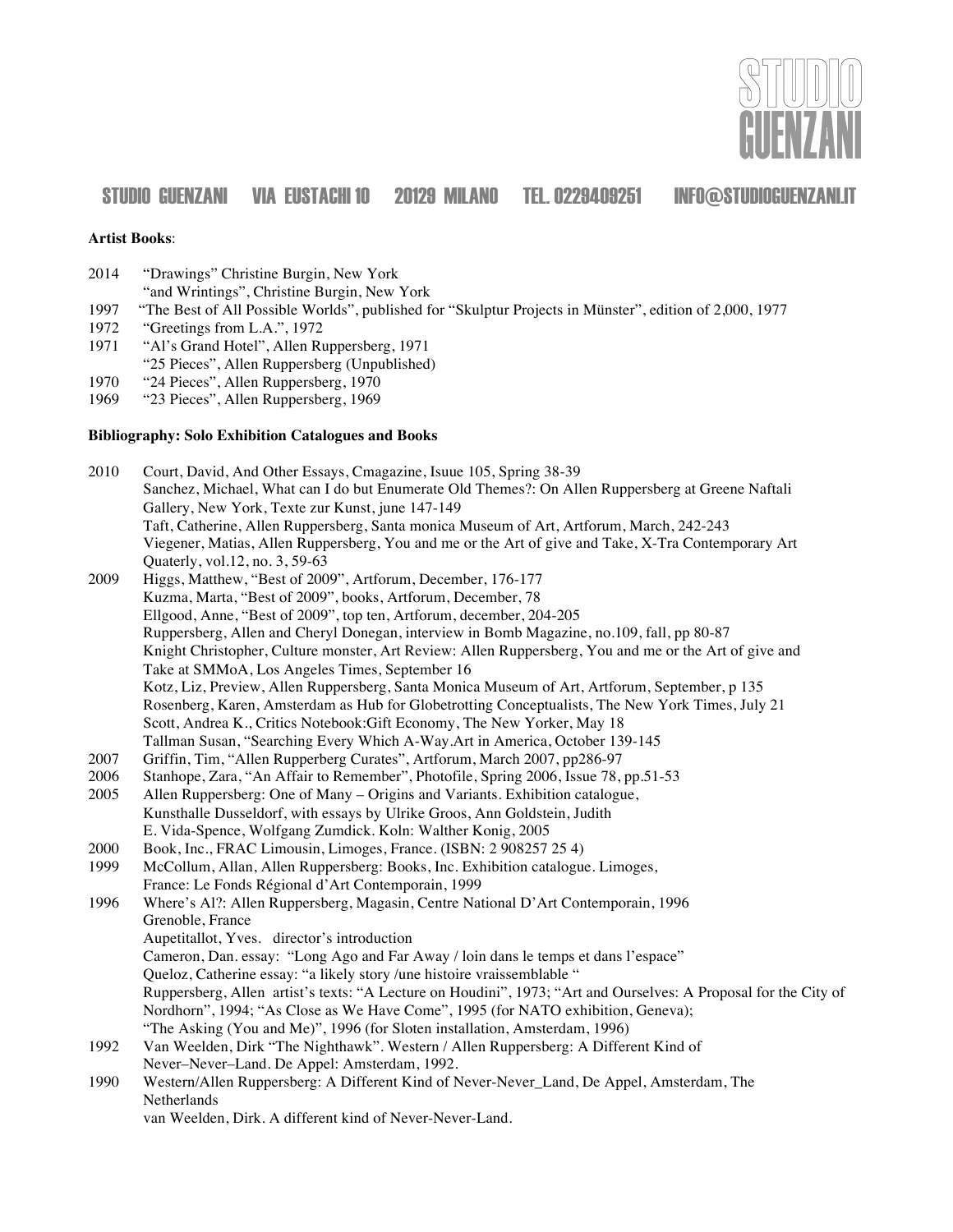

#### **Artist Books**:

2014 "Drawings" Christine Burgin, New York

"and Wrintings", Christine Burgin, New York

- 1997 "The Best of All Possible Worlds", published for "Skulptur Projects in Münster", edition of 2,000, 1977
- "Greetings from L.A.", 1972
- 1971 "Al's Grand Hotel", Allen Ruppersberg, 1971
- "25 Pieces", Allen Ruppersberg (Unpublished)
- 1970 "24 Pieces", Allen Ruppersberg, 1970

1969 "23 Pieces", Allen Ruppersberg, 1969

#### **Bibliography: Solo Exhibition Catalogues and Books**

| 2010 | Court, David, And Other Essays, Cmagazine, Isuue 105, Spring 38-39                                              |
|------|-----------------------------------------------------------------------------------------------------------------|
|      | Sanchez, Michael, What can I do but Enumerate Old Themes?: On Allen Ruppersberg at Greene Naftali               |
|      | Gallery, New York, Texte zur Kunst, june 147-149                                                                |
|      | Taft, Catherine, Allen Ruppersberg, Santa monica Museum of Art, Artforum, March, 242-243                        |
|      | Viegener, Matias, Allen Ruppersberg, You and me or the Art of give and Take, X-Tra Contemporary Art             |
|      | Quaterly, vol.12, no. 3, 59-63                                                                                  |
| 2009 | Higgs, Matthew, "Best of 2009", Artforum, December, 176-177                                                     |
|      | Kuzma, Marta, "Best of 2009", books, Artforum, December, 78                                                     |
|      | Ellgood, Anne, "Best of 2009", top ten, Artforum, december, 204-205                                             |
|      | Ruppersberg, Allen and Cheryl Donegan, interview in Bomb Magazine, no.109, fall, pp 80-87                       |
|      | Knight Christopher, Culture monster, Art Review: Allen Ruppersberg, You and me or the Art of give and           |
|      | Take at SMMoA, Los Angeles Times, September 16                                                                  |
|      | Kotz, Liz, Preview, Allen Ruppersberg, Santa Monica Museum of Art, Artforum, September, p 135                   |
|      | Rosenberg, Karen, Amsterdam as Hub for Globetrotting Conceptualists, The New York Times, July 21                |
|      | Scott, Andrea K., Critics Notebook: Gift Economy, The New Yorker, May 18                                        |
|      | Tallman Susan, "Searching Every Which A-Way.Art in America, October 139-145                                     |
| 2007 | Griffin, Tim, "Allen Rupperberg Curates", Artforum, March 2007, pp286-97                                        |
| 2006 | Stanhope, Zara, "An Affair to Remember", Photofile, Spring 2006, Issue 78, pp.51-53                             |
| 2005 | Allen Ruppersberg: One of Many – Origins and Variants. Exhibition catalogue,                                    |
|      | Kunsthalle Dusseldorf, with essays by Ulrike Groos, Ann Goldstein, Judith                                       |
|      | E. Vida-Spence, Wolfgang Zumdick. Koln: Walther Konig, 2005                                                     |
| 2000 | Book, Inc., FRAC Limousin, Limoges, France. (ISBN: 2 908257 25 4)                                               |
| 1999 | McCollum, Allan, Allen Ruppersberg: Books, Inc. Exhibition catalogue. Limoges,                                  |
|      | France: Le Fonds Régional d'Art Contemporain, 1999                                                              |
| 1996 | Where's Al?: Allen Ruppersberg, Magasin, Centre National D'Art Contemporain, 1996                               |
|      | Grenoble, France                                                                                                |
|      | Aupetitallot, Yves. director's introduction                                                                     |
|      | Cameron, Dan. essay: "Long Ago and Far Away / loin dans le temps et dans l'espace"                              |
|      | Queloz, Catherine essay: "a likely story /une histoire vraissemblable "                                         |
|      | Ruppersberg, Allen artist's texts: "A Lecture on Houdini", 1973; "Art and Ourselves: A Proposal for the City of |
|      | Nordhorn", 1994; "As Close as We Have Come", 1995 (for NATO exhibition, Geneva);                                |
|      | "The Asking (You and Me)", 1996 (for Sloten installation, Amsterdam, 1996)                                      |
| 1992 | Van Weelden, Dirk "The Nighthawk". Western / Allen Ruppersberg: A Different Kind of                             |
|      | Never-Never-Land. De Appel: Amsterdam, 1992.                                                                    |
| 1990 | Western/Allen Ruppersberg: A Different Kind of Never-Never_Land, De Appel, Amsterdam, The                       |
|      | Netherlands                                                                                                     |
|      | van Weelden, Dirk. A different kind of Never-Never-Land.                                                        |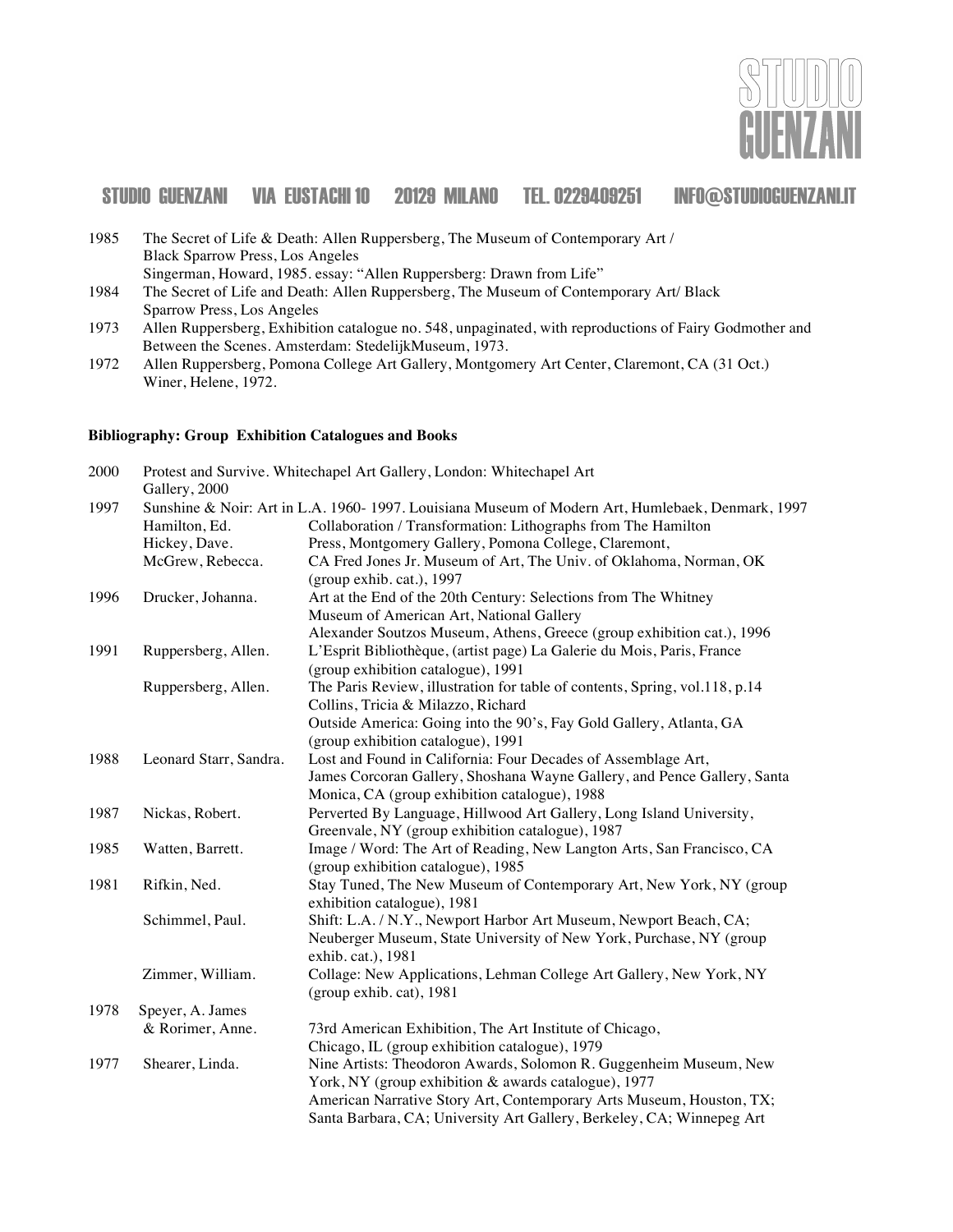

| 1985 | The Secret of Life & Death: Allen Ruppersberg, The Museum of Contemporary Art /        |
|------|----------------------------------------------------------------------------------------|
|      | <b>Black Sparrow Press, Los Angeles</b>                                                |
|      | Singerman, Howard, 1985. essay: "Allen Ruppersberg: Drawn from Life"                   |
| 1984 | The Secret of Life and Death: Allen Ruppersberg, The Museum of Contemporary Art/ Black |

- Sparrow Press, Los Angeles
- 1973 Allen Ruppersberg, Exhibition catalogue no. 548, unpaginated, with reproductions of Fairy Godmother and Between the Scenes. Amsterdam: StedelijkMuseum, 1973.
- 1972 Allen Ruppersberg, Pomona College Art Gallery, Montgomery Art Center, Claremont, CA (31 Oct.) Winer, Helene, 1972.

#### **Bibliography: Group Exhibition Catalogues and Books**

| 2000 | Protest and Survive. Whitechapel Art Gallery, London: Whitechapel Art<br>Gallery, 2000 |                                                                                                  |  |
|------|----------------------------------------------------------------------------------------|--------------------------------------------------------------------------------------------------|--|
| 1997 |                                                                                        | Sunshine & Noir: Art in L.A. 1960-1997. Louisiana Museum of Modern Art, Humlebaek, Denmark, 1997 |  |
|      | Hamilton, Ed.                                                                          | Collaboration / Transformation: Lithographs from The Hamilton                                    |  |
|      | Hickey, Dave.                                                                          | Press, Montgomery Gallery, Pomona College, Claremont,                                            |  |
|      | McGrew, Rebecca.                                                                       | CA Fred Jones Jr. Museum of Art, The Univ. of Oklahoma, Norman, OK                               |  |
|      |                                                                                        | (group exhib. cat.), 1997                                                                        |  |
| 1996 | Drucker, Johanna.                                                                      | Art at the End of the 20th Century: Selections from The Whitney                                  |  |
|      |                                                                                        | Museum of American Art, National Gallery                                                         |  |
|      |                                                                                        | Alexander Soutzos Museum, Athens, Greece (group exhibition cat.), 1996                           |  |
| 1991 | Ruppersberg, Allen.                                                                    | L'Esprit Bibliothèque, (artist page) La Galerie du Mois, Paris, France                           |  |
|      |                                                                                        | (group exhibition catalogue), 1991                                                               |  |
|      | Ruppersberg, Allen.                                                                    | The Paris Review, illustration for table of contents, Spring, vol.118, p.14                      |  |
|      |                                                                                        | Collins, Tricia & Milazzo, Richard                                                               |  |
|      |                                                                                        | Outside America: Going into the 90's, Fay Gold Gallery, Atlanta, GA                              |  |
|      |                                                                                        | (group exhibition catalogue), 1991                                                               |  |
| 1988 | Leonard Starr, Sandra.                                                                 | Lost and Found in California: Four Decades of Assemblage Art,                                    |  |
|      |                                                                                        | James Corcoran Gallery, Shoshana Wayne Gallery, and Pence Gallery, Santa                         |  |
|      |                                                                                        | Monica, CA (group exhibition catalogue), 1988                                                    |  |
| 1987 | Nickas, Robert.                                                                        | Perverted By Language, Hillwood Art Gallery, Long Island University,                             |  |
|      |                                                                                        | Greenvale, NY (group exhibition catalogue), 1987                                                 |  |
| 1985 | Watten, Barrett.                                                                       | Image / Word: The Art of Reading, New Langton Arts, San Francisco, CA                            |  |
|      |                                                                                        | (group exhibition catalogue), 1985                                                               |  |
| 1981 | Rifkin, Ned.                                                                           | Stay Tuned, The New Museum of Contemporary Art, New York, NY (group                              |  |
|      |                                                                                        | exhibition catalogue), 1981                                                                      |  |
|      | Schimmel, Paul.                                                                        | Shift: L.A. / N.Y., Newport Harbor Art Museum, Newport Beach, CA;                                |  |
|      |                                                                                        | Neuberger Museum, State University of New York, Purchase, NY (group                              |  |
|      |                                                                                        | exhib. cat.), 1981                                                                               |  |
|      | Zimmer, William.                                                                       | Collage: New Applications, Lehman College Art Gallery, New York, NY                              |  |
|      |                                                                                        | (group exhib. cat), 1981                                                                         |  |
| 1978 | Speyer, A. James                                                                       |                                                                                                  |  |
|      | & Rorimer, Anne.                                                                       | 73rd American Exhibition, The Art Institute of Chicago,                                          |  |
|      |                                                                                        | Chicago, IL (group exhibition catalogue), 1979                                                   |  |
| 1977 | Shearer, Linda.                                                                        | Nine Artists: Theodoron Awards, Solomon R. Guggenheim Museum, New                                |  |
|      |                                                                                        | York, NY (group exhibition & awards catalogue), 1977                                             |  |
|      |                                                                                        | American Narrative Story Art, Contemporary Arts Museum, Houston, TX;                             |  |
|      |                                                                                        | Santa Barbara, CA; University Art Gallery, Berkeley, CA; Winnepeg Art                            |  |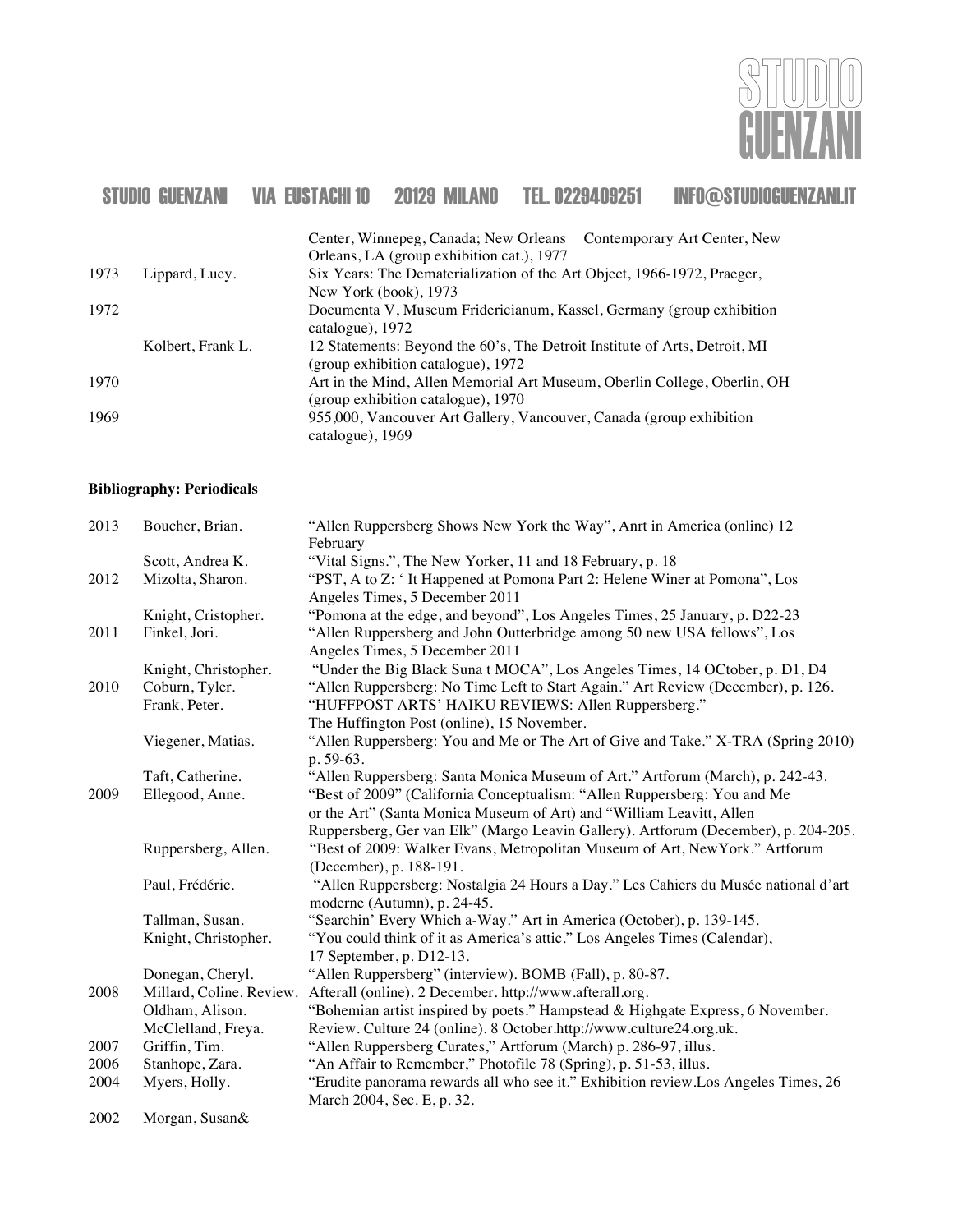

|      |                   | Center, Winnepeg, Canada; New Orleans Contemporary Art Center, New                                               |
|------|-------------------|------------------------------------------------------------------------------------------------------------------|
|      |                   | Orleans, LA (group exhibition cat.), 1977                                                                        |
| 1973 | Lippard, Lucy.    | Six Years: The Dematerialization of the Art Object, 1966-1972, Praeger,                                          |
|      |                   | New York (book), 1973                                                                                            |
| 1972 |                   | Documenta V, Museum Fridericianum, Kassel, Germany (group exhibition<br>catalogue), 1972                         |
|      | Kolbert, Frank L. | 12 Statements: Beyond the 60's, The Detroit Institute of Arts, Detroit, MI<br>(group exhibition catalogue), 1972 |
| 1970 |                   | Art in the Mind, Allen Memorial Art Museum, Oberlin College, Oberlin, OH<br>(group exhibition catalogue), 1970   |
| 1969 |                   | 955,000, Vancouver Art Gallery, Vancouver, Canada (group exhibition<br>catalogue), 1969                          |

#### **Bibliography: Periodicals**

| 2013 | Boucher, Brian.                 | "Allen Ruppersberg Shows New York the Way", Anrt in America (online) 12<br>February                                                    |
|------|---------------------------------|----------------------------------------------------------------------------------------------------------------------------------------|
|      | Scott, Andrea K.                | "Vital Signs.", The New Yorker, 11 and 18 February, p. 18                                                                              |
| 2012 | Mizolta, Sharon.                | "PST, A to Z: 'It Happened at Pomona Part 2: Helene Winer at Pomona", Los<br>Angeles Times, 5 December 2011                            |
|      | Knight, Cristopher.             | "Pomona at the edge, and beyond", Los Angeles Times, 25 January, p. D22-23                                                             |
| 2011 | Finkel, Jori.                   | "Allen Ruppersberg and John Outterbridge among 50 new USA fellows", Los<br>Angeles Times, 5 December 2011                              |
|      | Knight, Christopher.            | "Under the Big Black Suna t MOCA", Los Angeles Times, 14 OCtober, p. D1, D4                                                            |
| 2010 | Coburn, Tyler.<br>Frank, Peter. | "Allen Ruppersberg: No Time Left to Start Again." Art Review (December), p. 126.<br>"HUFFPOST ARTS' HAIKU REVIEWS: Allen Ruppersberg." |
|      |                                 | The Huffington Post (online), 15 November.                                                                                             |
|      | Viegener, Matias.               | "Allen Ruppersberg: You and Me or The Art of Give and Take." X-TRA (Spring 2010)<br>p. 59-63.                                          |
|      | Taft, Catherine.                | "Allen Ruppersberg: Santa Monica Museum of Art." Artforum (March), p. 242-43.                                                          |
| 2009 | Ellegood, Anne.                 | "Best of 2009" (California Conceptualism: "Allen Ruppersberg: You and Me                                                               |
|      |                                 | or the Art" (Santa Monica Museum of Art) and "William Leavitt, Allen                                                                   |
|      |                                 | Ruppersberg, Ger van Elk" (Margo Leavin Gallery). Artforum (December), p. 204-205.                                                     |
|      | Ruppersberg, Allen.             | "Best of 2009: Walker Evans, Metropolitan Museum of Art, New York." Artforum<br>(December), p. 188-191.                                |
|      | Paul, Frédéric.                 | "Allen Ruppersberg: Nostalgia 24 Hours a Day." Les Cahiers du Musée national d'art<br>moderne (Autumn), p. 24-45.                      |
|      | Tallman, Susan.                 | "Searchin' Every Which a-Way." Art in America (October), p. 139-145.                                                                   |
|      | Knight, Christopher.            | "You could think of it as America's attic." Los Angeles Times (Calendar),<br>17 September, p. D12-13.                                  |
|      | Donegan, Cheryl.                | "Allen Ruppersberg" (interview). BOMB (Fall), p. 80-87.                                                                                |
| 2008 | Millard, Coline. Review.        | Afterall (online). 2 December. http://www.afterall.org.                                                                                |
|      | Oldham, Alison.                 | "Bohemian artist inspired by poets." Hampstead & Highgate Express, 6 November.                                                         |
|      | McClelland, Freya.              | Review. Culture 24 (online). 8 October.http://www.culture24.org.uk.                                                                    |
| 2007 | Griffin, Tim.                   | "Allen Ruppersberg Curates," Artforum (March) p. 286-97, illus.                                                                        |
| 2006 | Stanhope, Zara.                 | "An Affair to Remember," Photofile 78 (Spring), p. 51-53, illus.                                                                       |
| 2004 | Myers, Holly.                   | "Erudite panorama rewards all who see it." Exhibition review. Los Angeles Times, 26                                                    |
|      |                                 | March 2004, Sec. E, p. 32.                                                                                                             |
| 2002 | Morgan, Susan&                  |                                                                                                                                        |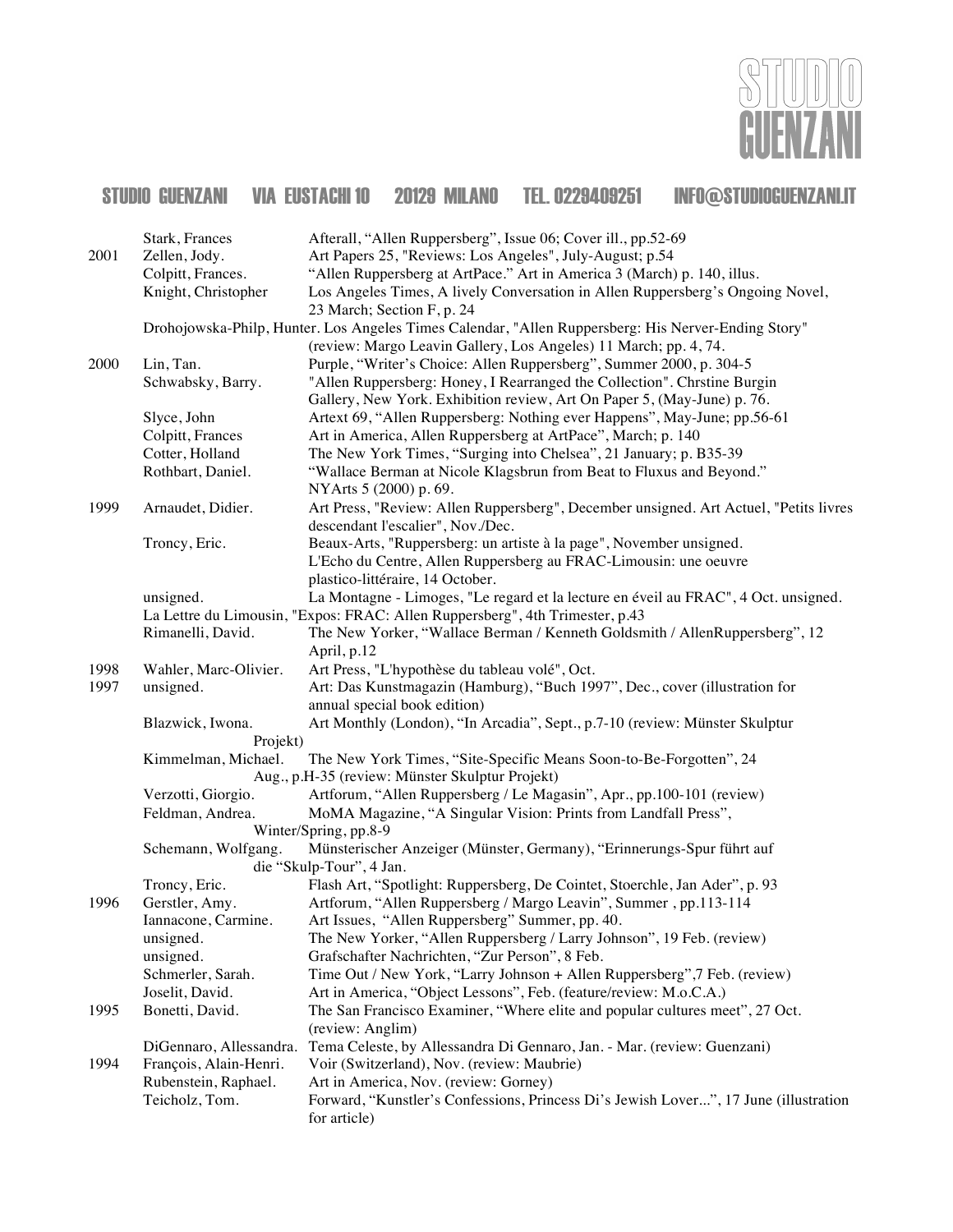

| 2001 | Stark, Frances<br>Zellen, Jody.<br>Colpitt, Frances. | Afterall, "Allen Ruppersberg", Issue 06; Cover ill., pp.52-69<br>Art Papers 25, "Reviews: Los Angeles", July-August; p.54<br>"Allen Ruppersberg at ArtPace." Art in America 3 (March) p. 140, illus. |
|------|------------------------------------------------------|------------------------------------------------------------------------------------------------------------------------------------------------------------------------------------------------------|
|      | Knight, Christopher                                  | Los Angeles Times, A lively Conversation in Allen Ruppersberg's Ongoing Novel,                                                                                                                       |
|      |                                                      | 23 March; Section F, p. 24<br>Drohojowska-Philp, Hunter. Los Angeles Times Calendar, "Allen Ruppersberg: His Nerver-Ending Story"                                                                    |
|      |                                                      | (review: Margo Leavin Gallery, Los Angeles) 11 March; pp. 4, 74.                                                                                                                                     |
| 2000 | Lin, Tan.                                            | Purple, "Writer's Choice: Allen Ruppersberg", Summer 2000, p. 304-5                                                                                                                                  |
|      | Schwabsky, Barry.                                    | "Allen Ruppersberg: Honey, I Rearranged the Collection". Chrstine Burgin                                                                                                                             |
|      |                                                      | Gallery, New York. Exhibition review, Art On Paper 5, (May-June) p. 76.                                                                                                                              |
|      | Slyce, John                                          | Artext 69, "Allen Ruppersberg: Nothing ever Happens", May-June; pp.56-61                                                                                                                             |
|      | Colpitt, Frances                                     | Art in America, Allen Ruppersberg at ArtPace", March; p. 140                                                                                                                                         |
|      | Cotter, Holland                                      | The New York Times, "Surging into Chelsea", 21 January; p. B35-39                                                                                                                                    |
|      | Rothbart, Daniel.                                    | "Wallace Berman at Nicole Klagsbrun from Beat to Fluxus and Beyond."<br>NYArts 5 (2000) p. 69.                                                                                                       |
| 1999 | Arnaudet, Didier.                                    | Art Press, "Review: Allen Ruppersberg", December unsigned. Art Actuel, "Petits livres                                                                                                                |
|      |                                                      | descendant l'escalier", Nov./Dec.                                                                                                                                                                    |
|      | Troncy, Eric.                                        | Beaux-Arts, "Ruppersberg: un artiste à la page", November unsigned.                                                                                                                                  |
|      |                                                      | L'Echo du Centre, Allen Ruppersberg au FRAC-Limousin: une oeuvre                                                                                                                                     |
|      |                                                      | plastico-littéraire, 14 October.                                                                                                                                                                     |
|      | unsigned.                                            | La Montagne - Limoges, "Le regard et la lecture en éveil au FRAC", 4 Oct. unsigned.                                                                                                                  |
|      | Rimanelli, David.                                    | La Lettre du Limousin, "Expos: FRAC: Allen Ruppersberg", 4th Trimester, p.43<br>The New Yorker, "Wallace Berman / Kenneth Goldsmith / AllenRuppersberg", 12                                          |
|      |                                                      | April, p.12                                                                                                                                                                                          |
| 1998 | Wahler, Marc-Olivier.                                | Art Press, "L'hypothèse du tableau volé", Oct.                                                                                                                                                       |
| 1997 | unsigned.                                            | Art: Das Kunstmagazin (Hamburg), "Buch 1997", Dec., cover (illustration for                                                                                                                          |
|      |                                                      | annual special book edition)                                                                                                                                                                         |
|      | Blazwick, Iwona.                                     | Art Monthly (London), "In Arcadia", Sept., p.7-10 (review: Münster Skulptur                                                                                                                          |
|      | Projekt)                                             |                                                                                                                                                                                                      |
|      | Kimmelman, Michael.                                  | The New York Times, "Site-Specific Means Soon-to-Be-Forgotten", 24                                                                                                                                   |
|      |                                                      | Aug., p.H-35 (review: Münster Skulptur Projekt)                                                                                                                                                      |
|      | Verzotti, Giorgio.<br>Feldman, Andrea.               | Artforum, "Allen Ruppersberg / Le Magasin", Apr., pp.100-101 (review)<br>MoMA Magazine, "A Singular Vision: Prints from Landfall Press",                                                             |
|      |                                                      | Winter/Spring, pp.8-9                                                                                                                                                                                |
|      | Schemann, Wolfgang.                                  | Münsterischer Anzeiger (Münster, Germany), "Erinnerungs-Spur führt auf                                                                                                                               |
|      |                                                      | die "Skulp-Tour", 4 Jan.                                                                                                                                                                             |
|      | Troncy, Eric.                                        | Flash Art, "Spotlight: Ruppersberg, De Cointet, Stoerchle, Jan Ader", p. 93                                                                                                                          |
| 1996 | Gerstler, Amy.                                       | Artforum, "Allen Ruppersberg / Margo Leavin", Summer, pp.113-114                                                                                                                                     |
|      | Iannacone, Carmine.                                  | Art Issues, "Allen Ruppersberg" Summer, pp. 40.                                                                                                                                                      |
|      | unsigned.                                            | The New Yorker, "Allen Ruppersberg / Larry Johnson", 19 Feb. (review)                                                                                                                                |
|      | unsigned.                                            | Grafschafter Nachrichten, "Zur Person", 8 Feb.                                                                                                                                                       |
|      | Schmerler, Sarah.<br>Joselit, David.                 | Time Out / New York, "Larry Johnson + Allen Ruppersberg", 7 Feb. (review)<br>Art in America, "Object Lessons", Feb. (feature/review: M.o.C.A.)                                                       |
| 1995 | Bonetti, David.                                      | The San Francisco Examiner, "Where elite and popular cultures meet", 27 Oct.                                                                                                                         |
|      |                                                      | (review: Anglim)                                                                                                                                                                                     |
|      | DiGennaro, Allessandra.                              | Tema Celeste, by Allessandra Di Gennaro, Jan. - Mar. (review: Guenzani)                                                                                                                              |
| 1994 | François, Alain-Henri.                               | Voir (Switzerland), Nov. (review: Maubrie)                                                                                                                                                           |
|      | Rubenstein, Raphael.                                 | Art in America, Nov. (review: Gorney)                                                                                                                                                                |
|      | Teicholz, Tom.                                       | Forward, "Kunstler's Confessions, Princess Di's Jewish Lover", 17 June (illustration<br>for article)                                                                                                 |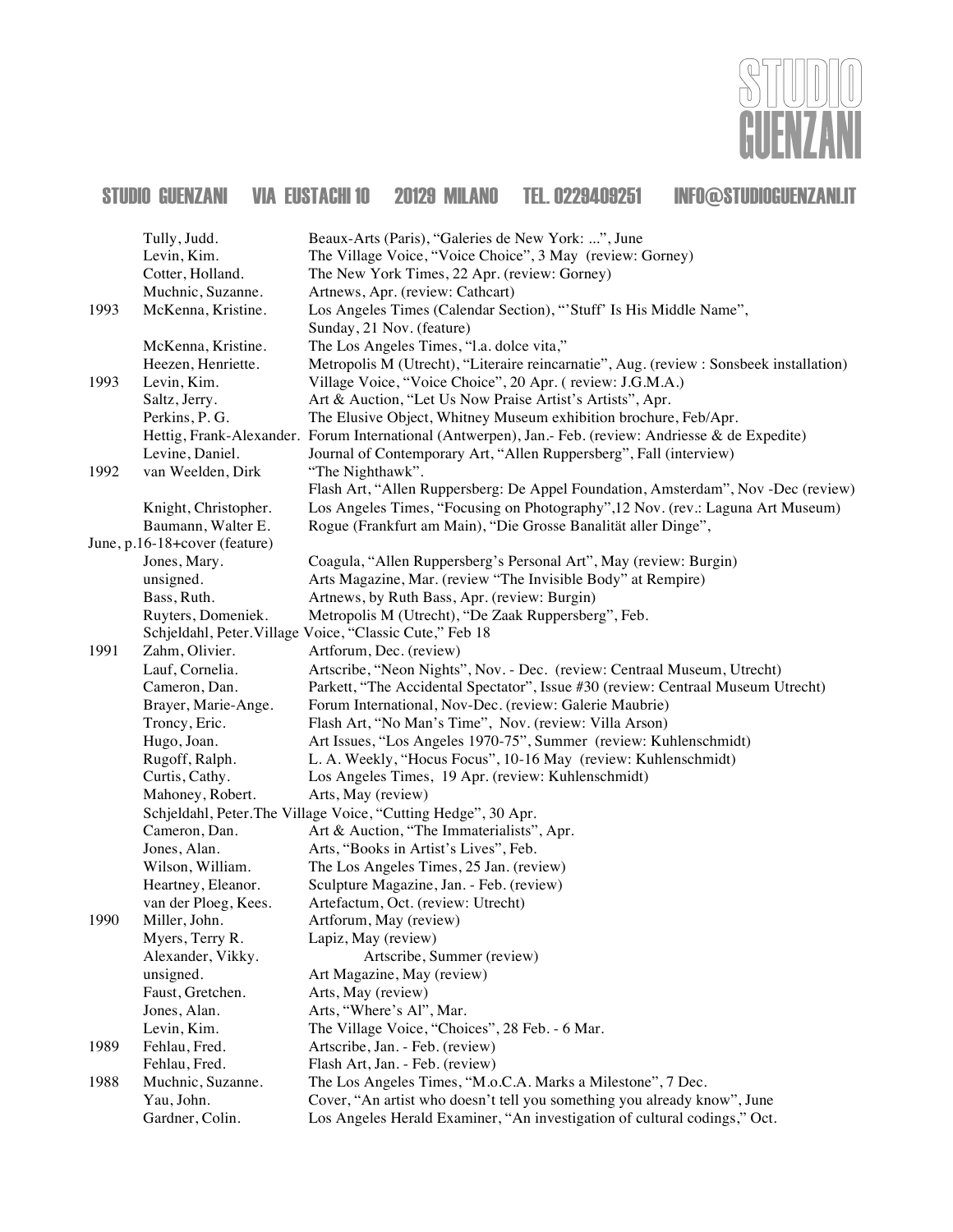

|      | Tully, Judd.                  | Beaux-Arts (Paris), "Galeries de New York: ", June                                                     |
|------|-------------------------------|--------------------------------------------------------------------------------------------------------|
|      | Levin, Kim.                   | The Village Voice, "Voice Choice", 3 May (review: Gorney)                                              |
|      | Cotter, Holland.              | The New York Times, 22 Apr. (review: Gorney)                                                           |
|      | Muchnic, Suzanne.             | Artnews, Apr. (review: Cathcart)                                                                       |
| 1993 | McKenna, Kristine.            | Los Angeles Times (Calendar Section), "'Stuff' Is His Middle Name",<br>Sunday, 21 Nov. (feature)       |
|      | McKenna, Kristine.            | The Los Angeles Times, "I.a. dolce vita,"                                                              |
|      | Heezen, Henriette.            | Metropolis M (Utrecht), "Literaire reincarnatie", Aug. (review : Sonsbeek installation)                |
| 1993 | Levin, Kim.                   | Village Voice, "Voice Choice", 20 Apr. (review: J.G.M.A.)                                              |
|      | Saltz, Jerry.                 | Art & Auction, "Let Us Now Praise Artist's Artists", Apr.                                              |
|      | Perkins, P. G.                | The Elusive Object, Whitney Museum exhibition brochure, Feb/Apr.                                       |
|      |                               | Hettig, Frank-Alexander. Forum International (Antwerpen), Jan.- Feb. (review: Andriesse & de Expedite) |
|      | Levine, Daniel.               | Journal of Contemporary Art, "Allen Ruppersberg", Fall (interview)                                     |
| 1992 | van Weelden, Dirk             | "The Nighthawk".                                                                                       |
|      |                               | Flash Art, "Allen Ruppersberg: De Appel Foundation, Amsterdam", Nov -Dec (review)                      |
|      | Knight, Christopher.          | Los Angeles Times, "Focusing on Photography", 12 Nov. (rev.: Laguna Art Museum)                        |
|      | Baumann, Walter E.            | Rogue (Frankfurt am Main), "Die Grosse Banalität aller Dinge",                                         |
|      | June, p.16-18+cover (feature) |                                                                                                        |
|      | Jones, Mary.                  | Coagula, "Allen Ruppersberg's Personal Art", May (review: Burgin)                                      |
|      | unsigned.                     | Arts Magazine, Mar. (review "The Invisible Body" at Rempire)                                           |
|      | Bass, Ruth.                   | Artnews, by Ruth Bass, Apr. (review: Burgin)                                                           |
|      | Ruyters, Domeniek.            | Metropolis M (Utrecht), "De Zaak Ruppersberg", Feb.                                                    |
|      |                               | Schjeldahl, Peter. Village Voice, "Classic Cute," Feb 18                                               |
| 1991 | Zahm, Olivier.                | Artforum, Dec. (review)                                                                                |
|      | Lauf, Cornelia.               | Artscribe, "Neon Nights", Nov. - Dec. (review: Centraal Museum, Utrecht)                               |
|      | Cameron, Dan.                 | Parkett, "The Accidental Spectator", Issue #30 (review: Centraal Museum Utrecht)                       |
|      | Brayer, Marie-Ange.           | Forum International, Nov-Dec. (review: Galerie Maubrie)                                                |
|      | Troncy, Eric.                 | Flash Art, "No Man's Time", Nov. (review: Villa Arson)                                                 |
|      | Hugo, Joan.                   | Art Issues, "Los Angeles 1970-75", Summer (review: Kuhlenschmidt)                                      |
|      | Rugoff, Ralph.                | L. A. Weekly, "Hocus Focus", 10-16 May (review: Kuhlenschmidt)                                         |
|      | Curtis, Cathy.                | Los Angeles Times, 19 Apr. (review: Kuhlenschmidt)                                                     |
|      | Mahoney, Robert.              | Arts, May (review)                                                                                     |
|      |                               | Schjeldahl, Peter. The Village Voice, "Cutting Hedge", 30 Apr.                                         |
|      | Cameron, Dan.                 | Art & Auction, "The Immaterialists", Apr.                                                              |
|      | Jones, Alan.                  | Arts, "Books in Artist's Lives", Feb.                                                                  |
|      | Wilson, William.              | The Los Angeles Times, 25 Jan. (review)                                                                |
|      | Heartney, Eleanor.            | Sculpture Magazine, Jan. - Feb. (review)                                                               |
|      | van der Ploeg, Kees.          | Artefactum, Oct. (review: Utrecht)                                                                     |
| 1990 | Miller, John.                 | Artforum, May (review)                                                                                 |
|      | Myers, Terry R.               | Lapiz, May (review)                                                                                    |
|      | Alexander, Vikky.             | Artscribe, Summer (review)                                                                             |
|      | unsigned.                     | Art Magazine, May (review)                                                                             |
|      | Faust, Gretchen.              | Arts, May (review)                                                                                     |
|      | Jones, Alan.                  | Arts, "Where's Al", Mar.                                                                               |
|      | Levin, Kim.                   | The Village Voice, "Choices", 28 Feb. - 6 Mar.                                                         |
| 1989 | Fehlau, Fred.                 | Artscribe, Jan. - Feb. (review)                                                                        |
|      | Fehlau, Fred.                 | Flash Art, Jan. - Feb. (review)                                                                        |
| 1988 | Muchnic, Suzanne.             | The Los Angeles Times, "M.o.C.A. Marks a Milestone", 7 Dec.                                            |
|      | Yau, John.                    | Cover, "An artist who doesn't tell you something you already know", June                               |
|      | Gardner, Colin.               | Los Angeles Herald Examiner, "An investigation of cultural codings," Oct.                              |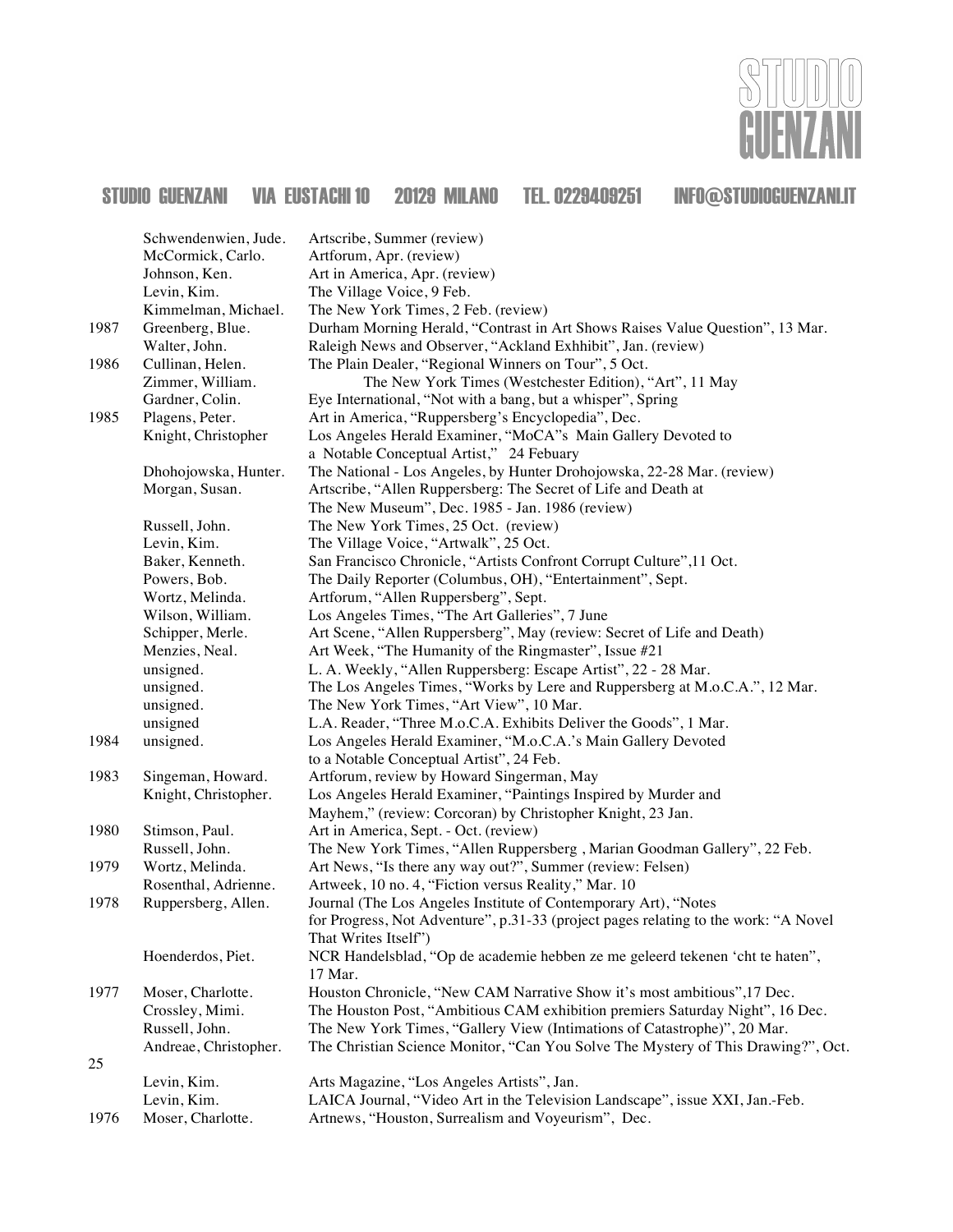

|      | Schwendenwien, Jude.  | Artscribe, Summer (review)                                                          |
|------|-----------------------|-------------------------------------------------------------------------------------|
|      | McCormick, Carlo.     | Artforum, Apr. (review)                                                             |
|      | Johnson, Ken.         | Art in America, Apr. (review)                                                       |
|      | Levin, Kim.           | The Village Voice, 9 Feb.                                                           |
|      | Kimmelman, Michael.   | The New York Times, 2 Feb. (review)                                                 |
| 1987 | Greenberg, Blue.      | Durham Morning Herald, "Contrast in Art Shows Raises Value Question", 13 Mar.       |
|      | Walter, John.         | Raleigh News and Observer, "Ackland Exhhibit", Jan. (review)                        |
| 1986 | Cullinan, Helen.      | The Plain Dealer, "Regional Winners on Tour", 5 Oct.                                |
|      | Zimmer, William.      | The New York Times (Westchester Edition), "Art", 11 May                             |
|      | Gardner, Colin.       | Eye International, "Not with a bang, but a whisper", Spring                         |
| 1985 | Plagens, Peter.       | Art in America, "Ruppersberg's Encyclopedia", Dec.                                  |
|      | Knight, Christopher   | Los Angeles Herald Examiner, "MoCA"s Main Gallery Devoted to                        |
|      |                       | a Notable Conceptual Artist," 24 Febuary                                            |
|      | Dhohojowska, Hunter.  | The National - Los Angeles, by Hunter Drohojowska, 22-28 Mar. (review)              |
|      | Morgan, Susan.        | Artscribe, "Allen Ruppersberg: The Secret of Life and Death at                      |
|      |                       | The New Museum", Dec. 1985 - Jan. 1986 (review)                                     |
|      | Russell, John.        | The New York Times, 25 Oct. (review)                                                |
|      | Levin, Kim.           | The Village Voice, "Artwalk", 25 Oct.                                               |
|      | Baker, Kenneth.       | San Francisco Chronicle, "Artists Confront Corrupt Culture",11 Oct.                 |
|      | Powers, Bob.          | The Daily Reporter (Columbus, OH), "Entertainment", Sept.                           |
|      | Wortz, Melinda.       | Artforum, "Allen Ruppersberg", Sept.                                                |
|      | Wilson, William.      | Los Angeles Times, "The Art Galleries", 7 June                                      |
|      | Schipper, Merle.      | Art Scene, "Allen Ruppersberg", May (review: Secret of Life and Death)              |
|      | Menzies, Neal.        | Art Week, "The Humanity of the Ringmaster", Issue #21                               |
|      | unsigned.             | L. A. Weekly, "Allen Ruppersberg: Escape Artist", 22 - 28 Mar.                      |
|      | unsigned.             | The Los Angeles Times, "Works by Lere and Ruppersberg at M.o.C.A.", 12 Mar.         |
|      | unsigned.             | The New York Times, "Art View", 10 Mar.                                             |
|      | unsigned              | L.A. Reader, "Three M.o.C.A. Exhibits Deliver the Goods", 1 Mar.                    |
| 1984 | unsigned.             | Los Angeles Herald Examiner, "M.o.C.A.'s Main Gallery Devoted                       |
|      |                       | to a Notable Conceptual Artist", 24 Feb.                                            |
| 1983 | Singeman, Howard.     | Artforum, review by Howard Singerman, May                                           |
|      | Knight, Christopher.  | Los Angeles Herald Examiner, "Paintings Inspired by Murder and                      |
|      |                       | Mayhem," (review: Corcoran) by Christopher Knight, 23 Jan.                          |
| 1980 | Stimson, Paul.        | Art in America, Sept. - Oct. (review)                                               |
|      | Russell, John.        | The New York Times, "Allen Ruppersberg, Marian Goodman Gallery", 22 Feb.            |
| 1979 | Wortz, Melinda.       | Art News, "Is there any way out?", Summer (review: Felsen)                          |
|      | Rosenthal, Adrienne.  | Artweek, 10 no. 4, "Fiction versus Reality," Mar. 10                                |
| 1978 | Ruppersberg, Allen.   | Journal (The Los Angeles Institute of Contemporary Art), "Notes                     |
|      |                       | for Progress, Not Adventure", p.31-33 (project pages relating to the work: "A Novel |
|      |                       | That Writes Itself")                                                                |
|      | Hoenderdos, Piet.     | NCR Handelsblad, "Op de academie hebben ze me geleerd tekenen 'cht te haten",       |
|      |                       | 17 Mar.                                                                             |
| 1977 | Moser, Charlotte.     | Houston Chronicle, "New CAM Narrative Show it's most ambitious", 17 Dec.            |
|      | Crossley, Mimi.       | The Houston Post, "Ambitious CAM exhibition premiers Saturday Night", 16 Dec.       |
|      | Russell, John.        | The New York Times, "Gallery View (Intimations of Catastrophe)", 20 Mar.            |
|      | Andreae, Christopher. | The Christian Science Monitor, "Can You Solve The Mystery of This Drawing?", Oct.   |
| 25   |                       |                                                                                     |
|      | Levin, Kim.           | Arts Magazine, "Los Angeles Artists", Jan.                                          |
|      | Levin, Kim.           | LAICA Journal, "Video Art in the Television Landscape", issue XXI, Jan.-Feb.        |
| 1976 | Moser, Charlotte.     | Artnews, "Houston, Surrealism and Voyeurism", Dec.                                  |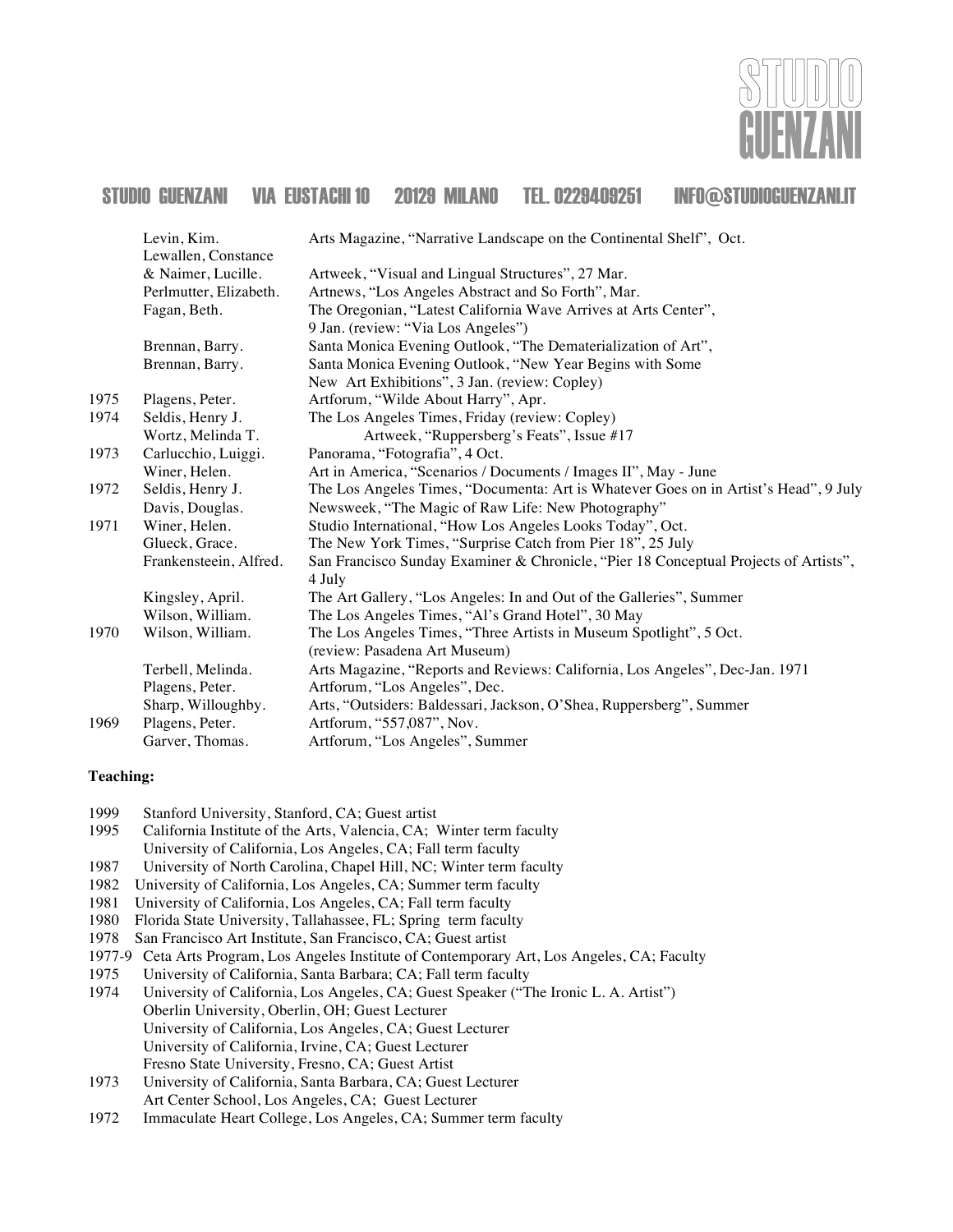

|      | Levin, Kim.            | Arts Magazine, "Narrative Landscape on the Continental Shelf", Oct.                  |
|------|------------------------|--------------------------------------------------------------------------------------|
|      | Lewallen, Constance    |                                                                                      |
|      | & Naimer, Lucille.     | Artweek, "Visual and Lingual Structures", 27 Mar.                                    |
|      | Perlmutter, Elizabeth. | Artnews, "Los Angeles Abstract and So Forth", Mar.                                   |
|      | Fagan, Beth.           | The Oregonian, "Latest California Wave Arrives at Arts Center",                      |
|      |                        | 9 Jan. (review: "Via Los Angeles")                                                   |
|      | Brennan, Barry.        | Santa Monica Evening Outlook, "The Dematerialization of Art",                        |
|      | Brennan, Barry.        | Santa Monica Evening Outlook, "New Year Begins with Some                             |
|      |                        | New Art Exhibitions", 3 Jan. (review: Copley)                                        |
| 1975 | Plagens, Peter.        | Artforum, "Wilde About Harry", Apr.                                                  |
| 1974 | Seldis, Henry J.       | The Los Angeles Times, Friday (review: Copley)                                       |
|      | Wortz, Melinda T.      | Artweek, "Ruppersberg's Feats", Issue #17                                            |
| 1973 | Carlucchio, Luiggi.    | Panorama, "Fotografia", 4 Oct.                                                       |
|      | Winer, Helen.          | Art in America, "Scenarios / Documents / Images II", May - June                      |
| 1972 | Seldis, Henry J.       | The Los Angeles Times, "Documenta: Art is Whatever Goes on in Artist's Head", 9 July |
|      | Davis, Douglas.        | Newsweek, "The Magic of Raw Life: New Photography"                                   |
| 1971 | Winer, Helen.          | Studio International, "How Los Angeles Looks Today", Oct.                            |
|      | Glueck, Grace.         | The New York Times, "Surprise Catch from Pier 18", 25 July                           |
|      | Frankensteein, Alfred. | San Francisco Sunday Examiner & Chronicle, "Pier 18 Conceptual Projects of Artists", |
|      |                        | 4 July                                                                               |
|      | Kingsley, April.       | The Art Gallery, "Los Angeles: In and Out of the Galleries", Summer                  |
|      | Wilson, William.       | The Los Angeles Times, "Al's Grand Hotel", 30 May                                    |
| 1970 | Wilson, William.       | The Los Angeles Times, "Three Artists in Museum Spotlight", 5 Oct.                   |
|      |                        | (review: Pasadena Art Museum)                                                        |
|      | Terbell, Melinda.      | Arts Magazine, "Reports and Reviews: California, Los Angeles", Dec-Jan. 1971         |
|      | Plagens, Peter.        | Artforum, "Los Angeles", Dec.                                                        |
|      | Sharp, Willoughby.     | Arts, "Outsiders: Baldessari, Jackson, O'Shea, Ruppersberg", Summer                  |
| 1969 | Plagens, Peter.        | Artforum, "557,087", Nov.                                                            |
|      | Garver, Thomas.        | Artforum, "Los Angeles", Summer                                                      |

#### **Teaching:**

- 1999 Stanford University, Stanford, CA; Guest artist
- 1995 California Institute of the Arts, Valencia, CA; Winter term faculty University of California, Los Angeles, CA; Fall term faculty
- 1987 University of North Carolina, Chapel Hill, NC; Winter term faculty
- 1982 University of California, Los Angeles, CA; Summer term faculty
- 1981 University of California, Los Angeles, CA; Fall term faculty
- 1980 Florida State University, Tallahassee, FL; Spring term faculty
- 1978 San Francisco Art Institute, San Francisco, CA; Guest artist
- 1977-9 Ceta Arts Program, Los Angeles Institute of Contemporary Art, Los Angeles, CA; Faculty
- 1975 University of California, Santa Barbara; CA; Fall term faculty<br>1974 University of California, Los Angeles, CA; Guest Speaker ("T
- University of California, Los Angeles, CA; Guest Speaker ("The Ironic L. A. Artist") Oberlin University, Oberlin, OH; Guest Lecturer University of California, Los Angeles, CA; Guest Lecturer University of California, Irvine, CA; Guest Lecturer Fresno State University, Fresno, CA; Guest Artist
- 1973 University of California, Santa Barbara, CA; Guest Lecturer Art Center School, Los Angeles, CA; Guest Lecturer
- 1972 Immaculate Heart College, Los Angeles, CA; Summer term faculty